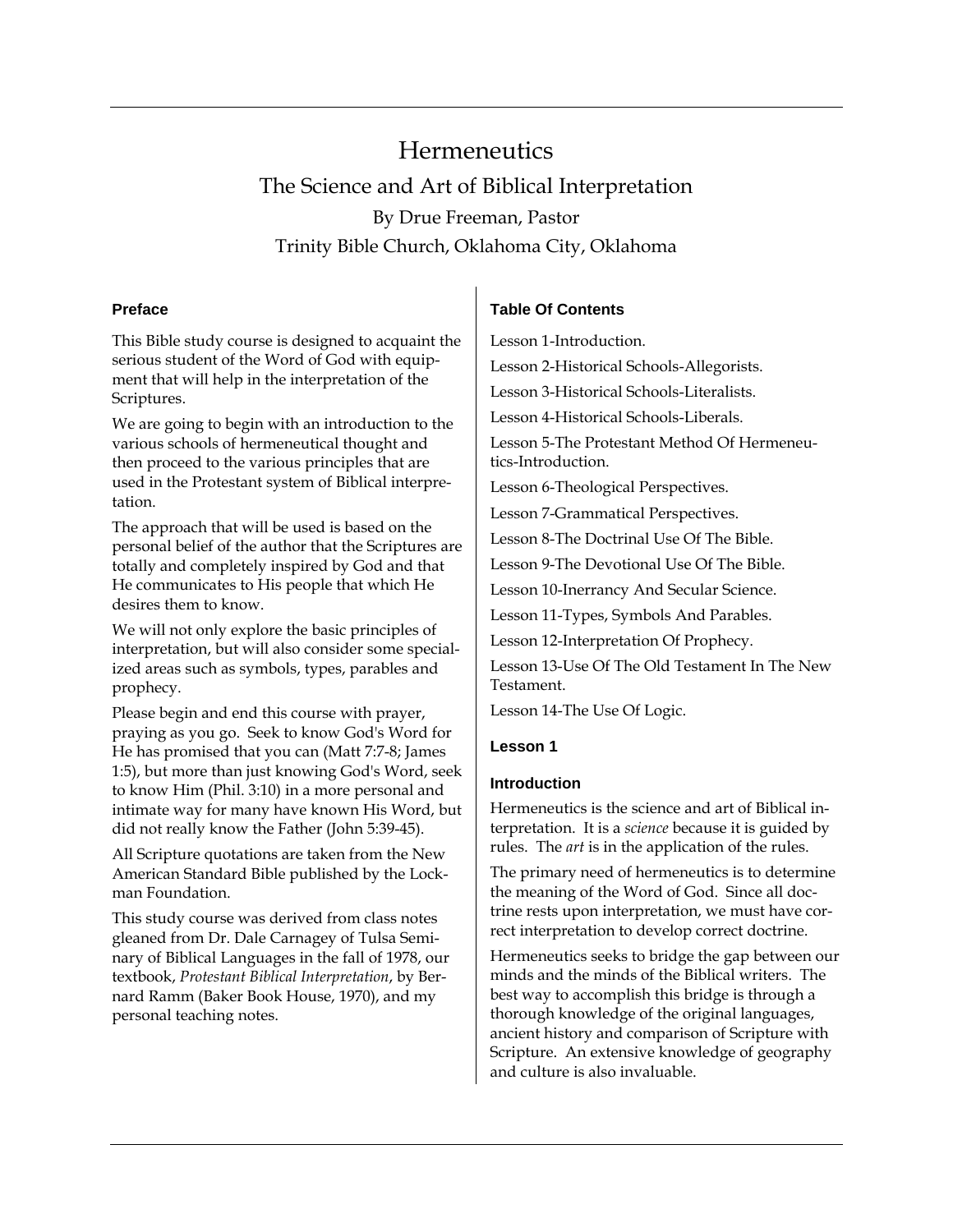# **Hermeneutics** The Science and Art of Biblical Interpretation By Drue Freeman, Pastor Trinity Bible Church, Oklahoma City, Oklahoma

# **Preface**

This Bible study course is designed to acquaint the serious student of the Word of God with equipment that will help in the interpretation of the Scriptures.

We are going to begin with an introduction to the various schools of hermeneutical thought and then proceed to the various principles that are used in the Protestant system of Biblical interpretation.

The approach that will be used is based on the personal belief of the author that the Scriptures are totally and completely inspired by God and that He communicates to His people that which He desires them to know.

We will not only explore the basic principles of interpretation, but will also consider some specialized areas such as symbols, types, parables and prophecy.

Please begin and end this course with prayer, praying as you go. Seek to know God's Word for He has promised that you can (Matt 7:7-8; James 1:5), but more than just knowing God's Word, seek to know Him (Phil. 3:10) in a more personal and intimate way for many have known His Word, but did not really know the Father (John 5:39-45).

All Scripture quotations are taken from the New American Standard Bible published by the Lockman Foundation.

This study course was derived from class notes gleaned from Dr. Dale Carnagey of Tulsa Seminary of Biblical Languages in the fall of 1978, our textbook, *Protestant Biblical Interpretation*, by Bernard Ramm (Baker Book House, 1970), and my personal teaching notes.

# **Table Of Contents**

Lesson 1-Introduction.

Lesson 2-Historical Schools-Allegorists.

Lesson 3-Historical Schools-Literalists.

Lesson 4-Historical Schools-Liberals.

Lesson 5-The Protestant Method Of Hermeneutics-Introduction.

Lesson 6-Theological Perspectives.

Lesson 7-Grammatical Perspectives.

Lesson 8-The Doctrinal Use Of The Bible.

Lesson 9-The Devotional Use Of The Bible.

Lesson 10-Inerrancy And Secular Science.

Lesson 11-Types, Symbols And Parables.

Lesson 12-Interpretation Of Prophecy.

Lesson 13-Use Of The Old Testament In The New Testament.

Lesson 14-The Use Of Logic.

# **Lesson 1**

# **Introduction**

Hermeneutics is the science and art of Biblical interpretation. It is a *science* because it is guided by rules. The *art* is in the application of the rules.

The primary need of hermeneutics is to determine the meaning of the Word of God. Since all doctrine rests upon interpretation, we must have correct interpretation to develop correct doctrine.

Hermeneutics seeks to bridge the gap between our minds and the minds of the Biblical writers. The best way to accomplish this bridge is through a thorough knowledge of the original languages, ancient history and comparison of Scripture with Scripture. An extensive knowledge of geography and culture is also invaluable.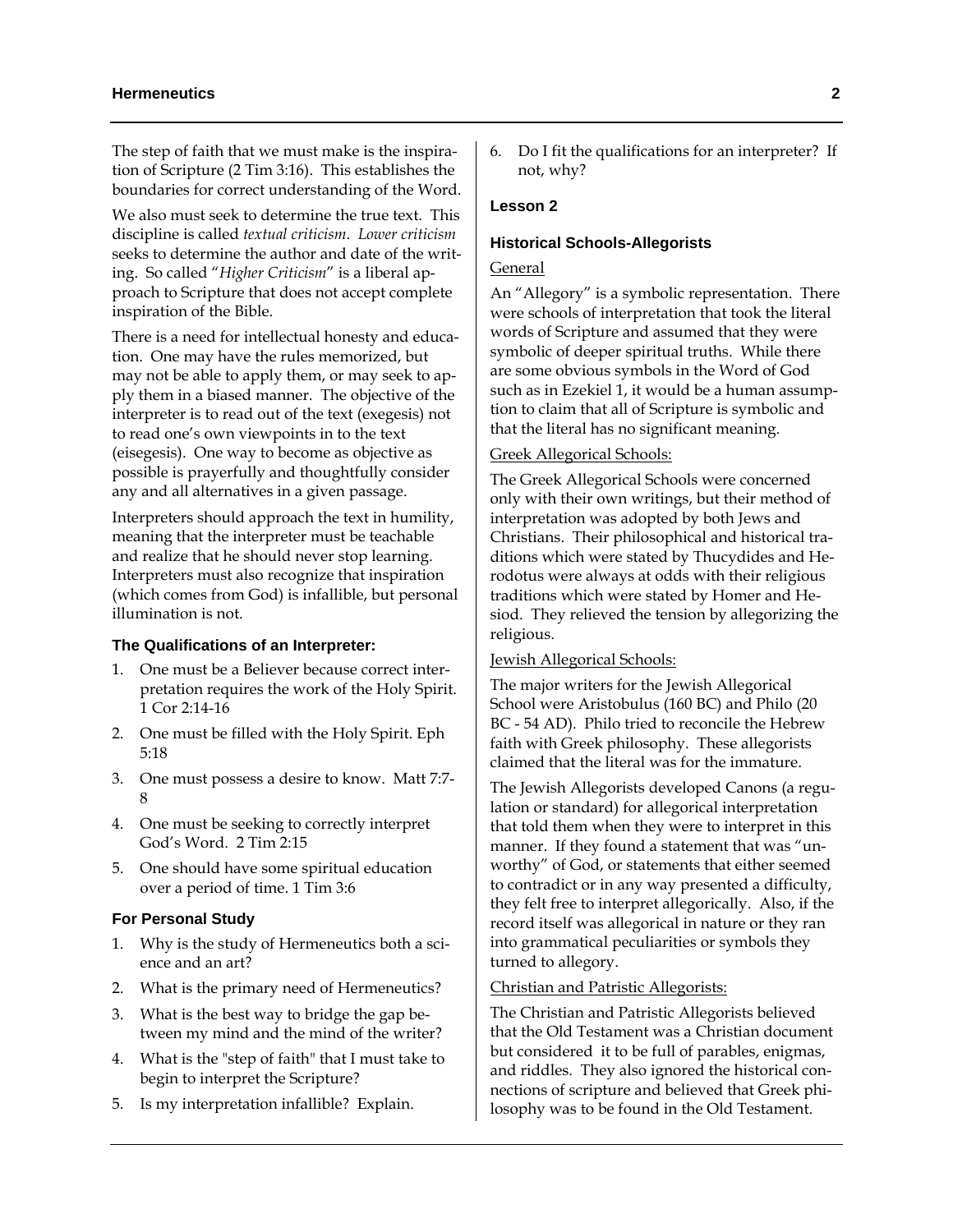The step of faith that we must make is the inspiration of Scripture (2 Tim 3:16). This establishes the boundaries for correct understanding of the Word.

We also must seek to determine the true text. This discipline is called *textual criticism*. *Lower criticism* seeks to determine the author and date of the writing. So called "*Higher Criticism*" is a liberal approach to Scripture that does not accept complete inspiration of the Bible.

There is a need for intellectual honesty and education. One may have the rules memorized, but may not be able to apply them, or may seek to apply them in a biased manner. The objective of the interpreter is to read out of the text (exegesis) not to read one's own viewpoints in to the text (eisegesis). One way to become as objective as possible is prayerfully and thoughtfully consider any and all alternatives in a given passage.

Interpreters should approach the text in humility, meaning that the interpreter must be teachable and realize that he should never stop learning. Interpreters must also recognize that inspiration (which comes from God) is infallible, but personal illumination is not.

# **The Qualifications of an Interpreter:**

- 1. One must be a Believer because correct interpretation requires the work of the Holy Spirit. 1 Cor 2:14-16
- 2. One must be filled with the Holy Spirit. Eph 5:18
- 3. One must possess a desire to know. Matt 7:7- 8
- 4. One must be seeking to correctly interpret God's Word. 2 Tim 2:15
- 5. One should have some spiritual education over a period of time. 1 Tim 3:6

#### **For Personal Study**

- 1. Why is the study of Hermeneutics both a science and an art?
- 2. What is the primary need of Hermeneutics?
- 3. What is the best way to bridge the gap between my mind and the mind of the writer?
- 4. What is the "step of faith" that I must take to begin to interpret the Scripture?
- 5. Is my interpretation infallible? Explain.

6. Do I fit the qualifications for an interpreter? If not, why?

# **Lesson 2**

#### **Historical Schools-Allegorists**

# General

An "Allegory" is a symbolic representation. There were schools of interpretation that took the literal words of Scripture and assumed that they were symbolic of deeper spiritual truths. While there are some obvious symbols in the Word of God such as in Ezekiel 1, it would be a human assumption to claim that all of Scripture is symbolic and that the literal has no significant meaning.

#### Greek Allegorical Schools:

The Greek Allegorical Schools were concerned only with their own writings, but their method of interpretation was adopted by both Jews and Christians. Their philosophical and historical traditions which were stated by Thucydides and Herodotus were always at odds with their religious traditions which were stated by Homer and Hesiod. They relieved the tension by allegorizing the religious.

#### Jewish Allegorical Schools:

The major writers for the Jewish Allegorical School were Aristobulus (160 BC) and Philo (20 BC - 54 AD). Philo tried to reconcile the Hebrew faith with Greek philosophy. These allegorists claimed that the literal was for the immature.

The Jewish Allegorists developed Canons (a regulation or standard) for allegorical interpretation that told them when they were to interpret in this manner. If they found a statement that was "unworthy" of God, or statements that either seemed to contradict or in any way presented a difficulty, they felt free to interpret allegorically. Also, if the record itself was allegorical in nature or they ran into grammatical peculiarities or symbols they turned to allegory.

#### Christian and Patristic Allegorists:

The Christian and Patristic Allegorists believed that the Old Testament was a Christian document but considered it to be full of parables, enigmas, and riddles. They also ignored the historical connections of scripture and believed that Greek philosophy was to be found in the Old Testament.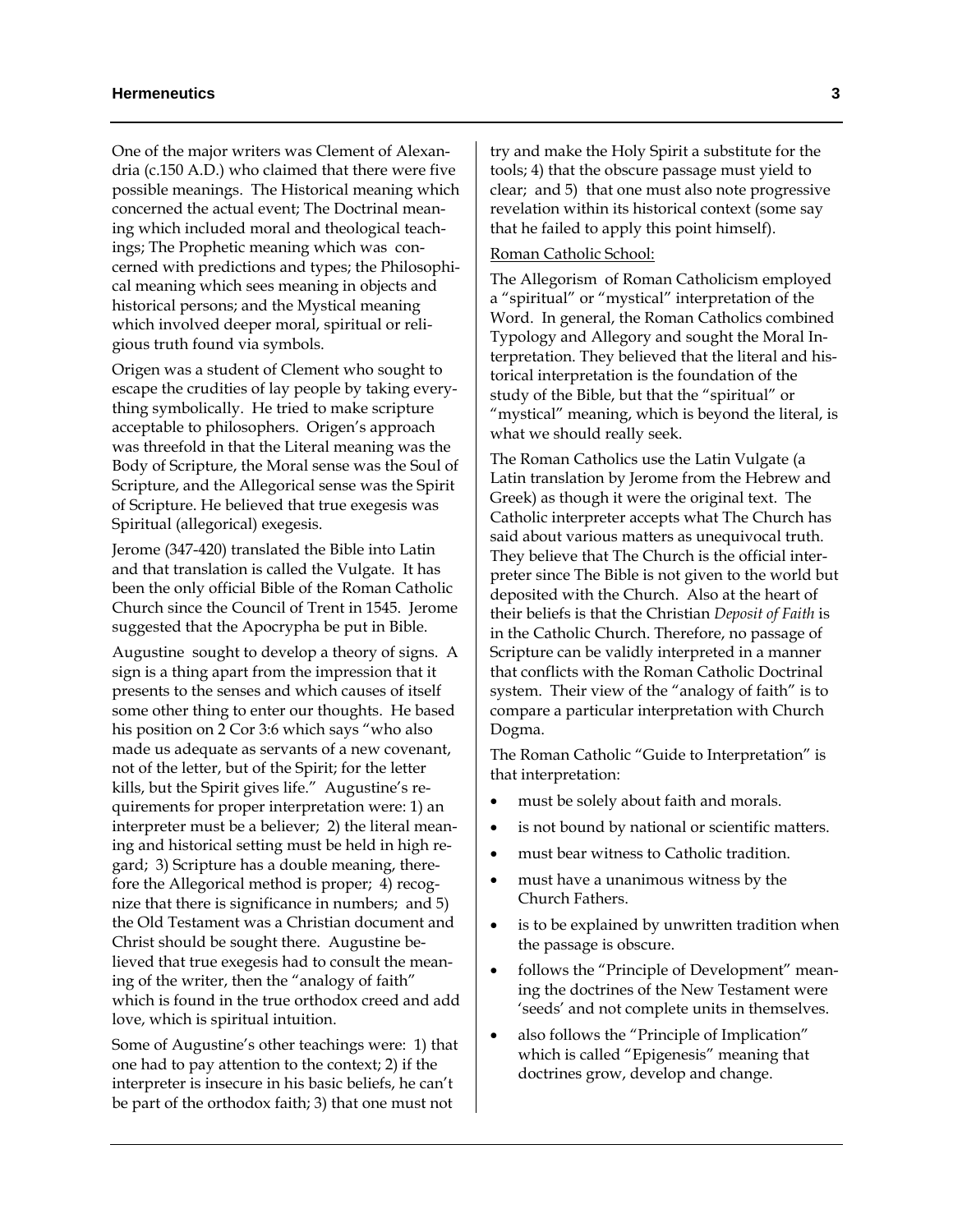One of the major writers was Clement of Alexandria (c.150 A.D.) who claimed that there were five possible meanings. The Historical meaning which concerned the actual event; The Doctrinal meaning which included moral and theological teachings; The Prophetic meaning which was concerned with predictions and types; the Philosophical meaning which sees meaning in objects and historical persons; and the Mystical meaning which involved deeper moral, spiritual or religious truth found via symbols.

Origen was a student of Clement who sought to escape the crudities of lay people by taking everything symbolically. He tried to make scripture acceptable to philosophers. Origen's approach was threefold in that the Literal meaning was the Body of Scripture, the Moral sense was the Soul of Scripture, and the Allegorical sense was the Spirit of Scripture. He believed that true exegesis was Spiritual (allegorical) exegesis.

Jerome (347-420) translated the Bible into Latin and that translation is called the Vulgate. It has been the only official Bible of the Roman Catholic Church since the Council of Trent in 1545. Jerome suggested that the Apocrypha be put in Bible.

Augustine sought to develop a theory of signs. A sign is a thing apart from the impression that it presents to the senses and which causes of itself some other thing to enter our thoughts. He based his position on 2 Cor 3:6 which says "who also made us adequate as servants of a new covenant, not of the letter, but of the Spirit; for the letter kills, but the Spirit gives life." Augustine's requirements for proper interpretation were: 1) an interpreter must be a believer; 2) the literal meaning and historical setting must be held in high regard; 3) Scripture has a double meaning, therefore the Allegorical method is proper; 4) recognize that there is significance in numbers; and 5) the Old Testament was a Christian document and Christ should be sought there. Augustine believed that true exegesis had to consult the meaning of the writer, then the "analogy of faith" which is found in the true orthodox creed and add love, which is spiritual intuition.

Some of Augustine's other teachings were: 1) that one had to pay attention to the context; 2) if the interpreter is insecure in his basic beliefs, he can't be part of the orthodox faith; 3) that one must not

try and make the Holy Spirit a substitute for the tools; 4) that the obscure passage must yield to clear; and 5) that one must also note progressive revelation within its historical context (some say that he failed to apply this point himself).

#### Roman Catholic School:

The Allegorism of Roman Catholicism employed a "spiritual" or "mystical" interpretation of the Word. In general, the Roman Catholics combined Typology and Allegory and sought the Moral Interpretation. They believed that the literal and historical interpretation is the foundation of the study of the Bible, but that the "spiritual" or "mystical" meaning, which is beyond the literal, is what we should really seek.

The Roman Catholics use the Latin Vulgate (a Latin translation by Jerome from the Hebrew and Greek) as though it were the original text. The Catholic interpreter accepts what The Church has said about various matters as unequivocal truth. They believe that The Church is the official interpreter since The Bible is not given to the world but deposited with the Church. Also at the heart of their beliefs is that the Christian *Deposit of Faith* is in the Catholic Church. Therefore, no passage of Scripture can be validly interpreted in a manner that conflicts with the Roman Catholic Doctrinal system. Their view of the "analogy of faith" is to compare a particular interpretation with Church Dogma.

The Roman Catholic "Guide to Interpretation" is that interpretation:

- must be solely about faith and morals.
- is not bound by national or scientific matters.
- must bear witness to Catholic tradition.
- must have a unanimous witness by the Church Fathers.
- is to be explained by unwritten tradition when the passage is obscure.
- follows the "Principle of Development" meaning the doctrines of the New Testament were 'seeds' and not complete units in themselves.
- also follows the "Principle of Implication" which is called "Epigenesis" meaning that doctrines grow, develop and change.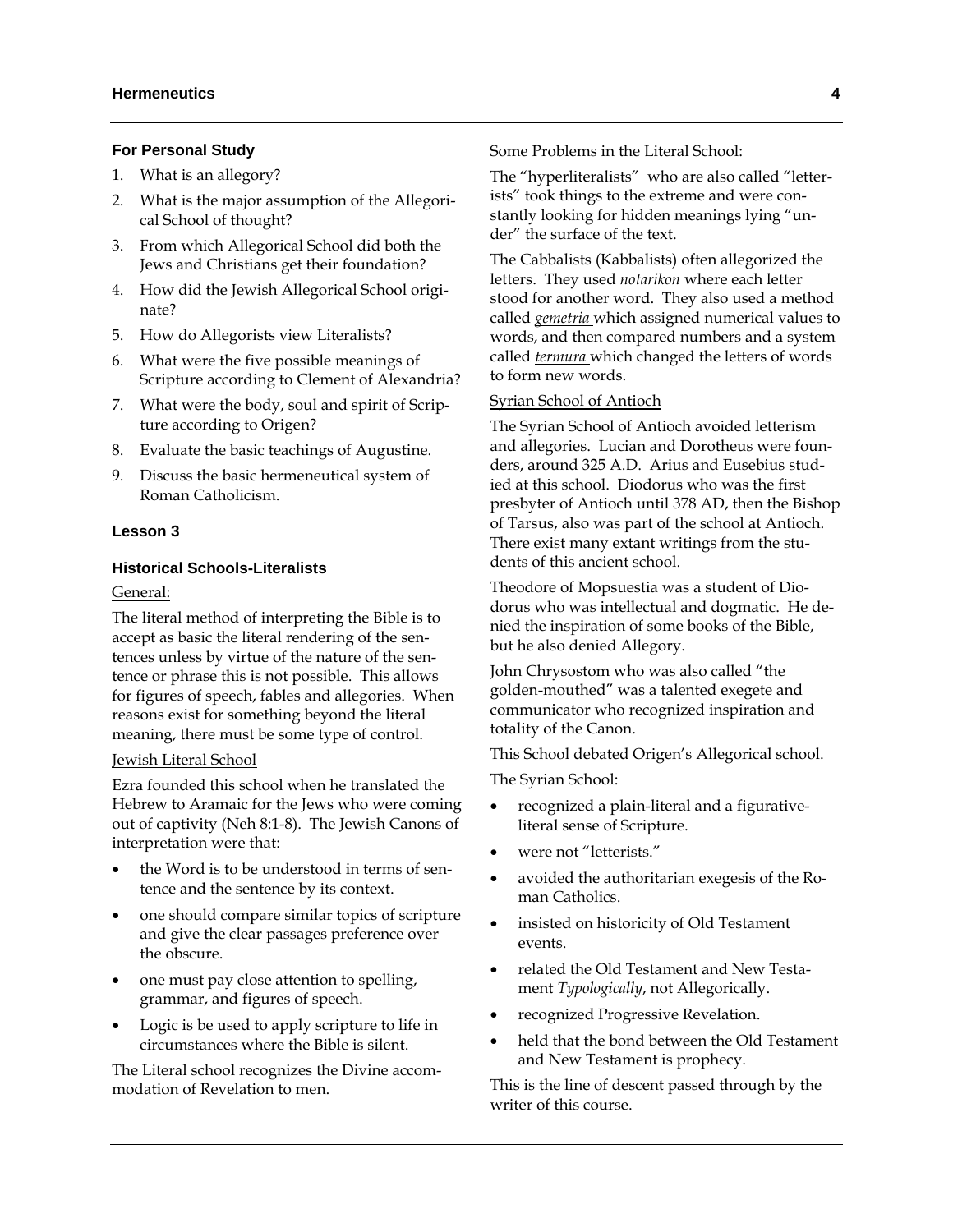## **For Personal Study**

- 1. What is an allegory?
- 2. What is the major assumption of the Allegorical School of thought?
- 3. From which Allegorical School did both the Jews and Christians get their foundation?
- 4. How did the Jewish Allegorical School originate?
- 5. How do Allegorists view Literalists?
- 6. What were the five possible meanings of Scripture according to Clement of Alexandria?
- 7. What were the body, soul and spirit of Scripture according to Origen?
- 8. Evaluate the basic teachings of Augustine.
- 9. Discuss the basic hermeneutical system of Roman Catholicism.

## **Lesson 3**

# **Historical Schools-Literalists**

# General:

The literal method of interpreting the Bible is to accept as basic the literal rendering of the sentences unless by virtue of the nature of the sentence or phrase this is not possible. This allows for figures of speech, fables and allegories. When reasons exist for something beyond the literal meaning, there must be some type of control.

#### Jewish Literal School

Ezra founded this school when he translated the Hebrew to Aramaic for the Jews who were coming out of captivity (Neh 8:1-8). The Jewish Canons of interpretation were that:

- the Word is to be understood in terms of sentence and the sentence by its context.
- one should compare similar topics of scripture and give the clear passages preference over the obscure.
- one must pay close attention to spelling, grammar, and figures of speech.
- Logic is be used to apply scripture to life in circumstances where the Bible is silent.

The Literal school recognizes the Divine accommodation of Revelation to men.

# Some Problems in the Literal School:

The "hyperliteralists" who are also called "letterists" took things to the extreme and were constantly looking for hidden meanings lying "under" the surface of the text.

The Cabbalists (Kabbalists) often allegorized the letters. They used *notarikon* where each letter stood for another word. They also used a method called *gemetria* which assigned numerical values to words, and then compared numbers and a system called *termura* which changed the letters of words to form new words.

# Syrian School of Antioch

The Syrian School of Antioch avoided letterism and allegories. Lucian and Dorotheus were founders, around 325 A.D. Arius and Eusebius studied at this school. Diodorus who was the first presbyter of Antioch until 378 AD, then the Bishop of Tarsus, also was part of the school at Antioch. There exist many extant writings from the students of this ancient school.

Theodore of Mopsuestia was a student of Diodorus who was intellectual and dogmatic. He denied the inspiration of some books of the Bible, but he also denied Allegory.

John Chrysostom who was also called "the golden-mouthed" was a talented exegete and communicator who recognized inspiration and totality of the Canon.

This School debated Origen's Allegorical school.

The Syrian School:

- recognized a plain-literal and a figurativeliteral sense of Scripture.
- were not "letterists."
- avoided the authoritarian exegesis of the Roman Catholics.
- insisted on historicity of Old Testament events.
- related the Old Testament and New Testament *Typologically*, not Allegorically.
- recognized Progressive Revelation.
- held that the bond between the Old Testament and New Testament is prophecy.

This is the line of descent passed through by the writer of this course.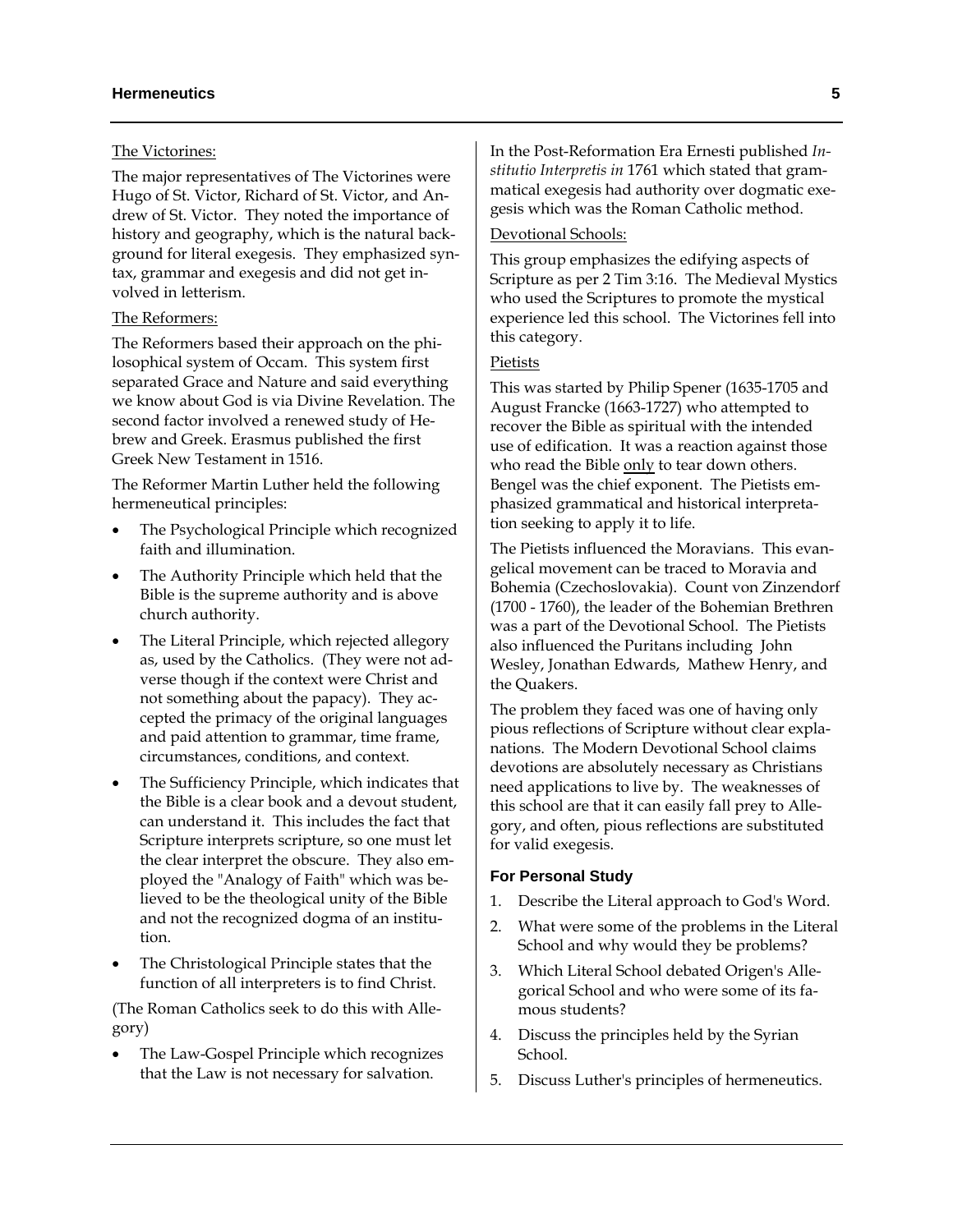# The Victorines:

The major representatives of The Victorines were Hugo of St. Victor, Richard of St. Victor, and Andrew of St. Victor. They noted the importance of history and geography, which is the natural background for literal exegesis. They emphasized syntax, grammar and exegesis and did not get involved in letterism.

# The Reformers:

The Reformers based their approach on the philosophical system of Occam. This system first separated Grace and Nature and said everything we know about God is via Divine Revelation. The second factor involved a renewed study of Hebrew and Greek. Erasmus published the first Greek New Testament in 1516.

The Reformer Martin Luther held the following hermeneutical principles:

- The Psychological Principle which recognized faith and illumination.
- The Authority Principle which held that the Bible is the supreme authority and is above church authority.
- The Literal Principle, which rejected allegory as, used by the Catholics. (They were not adverse though if the context were Christ and not something about the papacy). They accepted the primacy of the original languages and paid attention to grammar, time frame, circumstances, conditions, and context.
- The Sufficiency Principle, which indicates that the Bible is a clear book and a devout student, can understand it. This includes the fact that Scripture interprets scripture, so one must let the clear interpret the obscure. They also employed the "Analogy of Faith" which was believed to be the theological unity of the Bible and not the recognized dogma of an institution.
- The Christological Principle states that the function of all interpreters is to find Christ.

(The Roman Catholics seek to do this with Allegory)

• The Law-Gospel Principle which recognizes that the Law is not necessary for salvation.

In the Post-Reformation Era Ernesti published *Institutio Interpretis in* 1761 which stated that grammatical exegesis had authority over dogmatic exegesis which was the Roman Catholic method.

# Devotional Schools:

This group emphasizes the edifying aspects of Scripture as per 2 Tim 3:16. The Medieval Mystics who used the Scriptures to promote the mystical experience led this school. The Victorines fell into this category.

# Pietists

This was started by Philip Spener (1635-1705 and August Francke (1663-1727) who attempted to recover the Bible as spiritual with the intended use of edification. It was a reaction against those who read the Bible only to tear down others. Bengel was the chief exponent. The Pietists emphasized grammatical and historical interpretation seeking to apply it to life.

The Pietists influenced the Moravians. This evangelical movement can be traced to Moravia and Bohemia (Czechoslovakia). Count von Zinzendorf (1700 - 1760), the leader of the Bohemian Brethren was a part of the Devotional School. The Pietists also influenced the Puritans including John Wesley, Jonathan Edwards, Mathew Henry, and the Quakers.

The problem they faced was one of having only pious reflections of Scripture without clear explanations. The Modern Devotional School claims devotions are absolutely necessary as Christians need applications to live by. The weaknesses of this school are that it can easily fall prey to Allegory, and often, pious reflections are substituted for valid exegesis.

#### **For Personal Study**

- 1. Describe the Literal approach to God's Word.
- 2. What were some of the problems in the Literal School and why would they be problems?
- 3. Which Literal School debated Origen's Allegorical School and who were some of its famous students?
- 4. Discuss the principles held by the Syrian School.
- 5. Discuss Luther's principles of hermeneutics.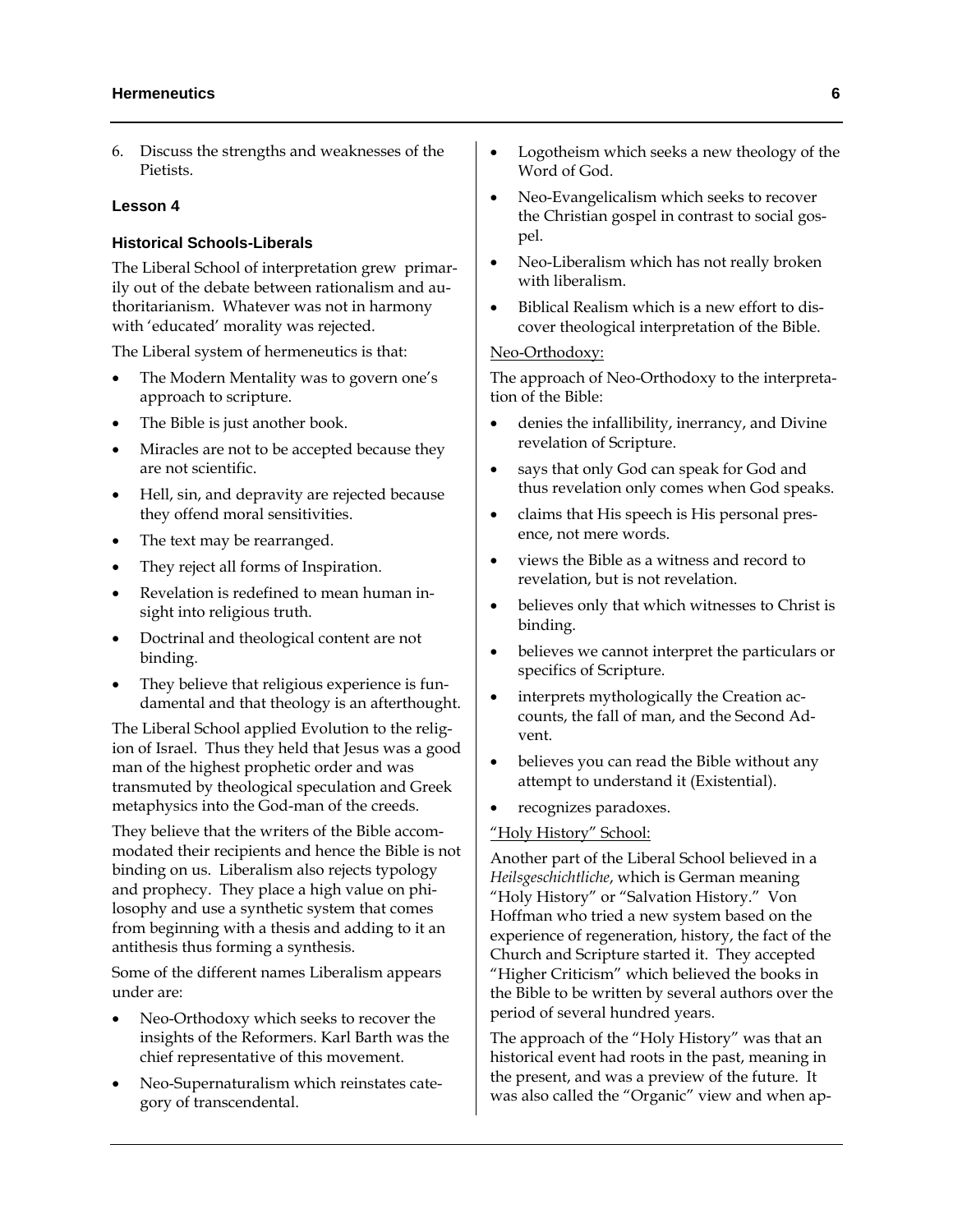# **Hermeneutics 6**

6. Discuss the strengths and weaknesses of the Pietists.

## **Lesson 4**

# **Historical Schools-Liberals**

The Liberal School of interpretation grew primarily out of the debate between rationalism and authoritarianism. Whatever was not in harmony with 'educated' morality was rejected.

The Liberal system of hermeneutics is that:

- The Modern Mentality was to govern one's approach to scripture.
- The Bible is just another book.
- Miracles are not to be accepted because they are not scientific.
- Hell, sin, and depravity are rejected because they offend moral sensitivities.
- The text may be rearranged.
- They reject all forms of Inspiration.
- Revelation is redefined to mean human insight into religious truth.
- Doctrinal and theological content are not binding.
- They believe that religious experience is fundamental and that theology is an afterthought.

The Liberal School applied Evolution to the religion of Israel. Thus they held that Jesus was a good man of the highest prophetic order and was transmuted by theological speculation and Greek metaphysics into the God-man of the creeds.

They believe that the writers of the Bible accommodated their recipients and hence the Bible is not binding on us. Liberalism also rejects typology and prophecy. They place a high value on philosophy and use a synthetic system that comes from beginning with a thesis and adding to it an antithesis thus forming a synthesis.

Some of the different names Liberalism appears under are:

- Neo-Orthodoxy which seeks to recover the insights of the Reformers. Karl Barth was the chief representative of this movement.
- Neo-Supernaturalism which reinstates category of transcendental.
- Logotheism which seeks a new theology of the Word of God.
- Neo-Evangelicalism which seeks to recover the Christian gospel in contrast to social gospel.
- Neo-Liberalism which has not really broken with liberalism.
- Biblical Realism which is a new effort to discover theological interpretation of the Bible.

# Neo-Orthodoxy:

The approach of Neo-Orthodoxy to the interpretation of the Bible:

- denies the infallibility, inerrancy, and Divine revelation of Scripture.
- says that only God can speak for God and thus revelation only comes when God speaks.
- claims that His speech is His personal presence, not mere words.
- views the Bible as a witness and record to revelation, but is not revelation.
- believes only that which witnesses to Christ is binding.
- believes we cannot interpret the particulars or specifics of Scripture.
- interprets mythologically the Creation accounts, the fall of man, and the Second Advent.
- believes you can read the Bible without any attempt to understand it (Existential).
- recognizes paradoxes.

#### "Holy History" School:

Another part of the Liberal School believed in a *Heilsgeschichtliche*, which is German meaning "Holy History" or "Salvation History." Von Hoffman who tried a new system based on the experience of regeneration, history, the fact of the Church and Scripture started it. They accepted "Higher Criticism" which believed the books in the Bible to be written by several authors over the period of several hundred years.

The approach of the "Holy History" was that an historical event had roots in the past, meaning in the present, and was a preview of the future. It was also called the "Organic" view and when ap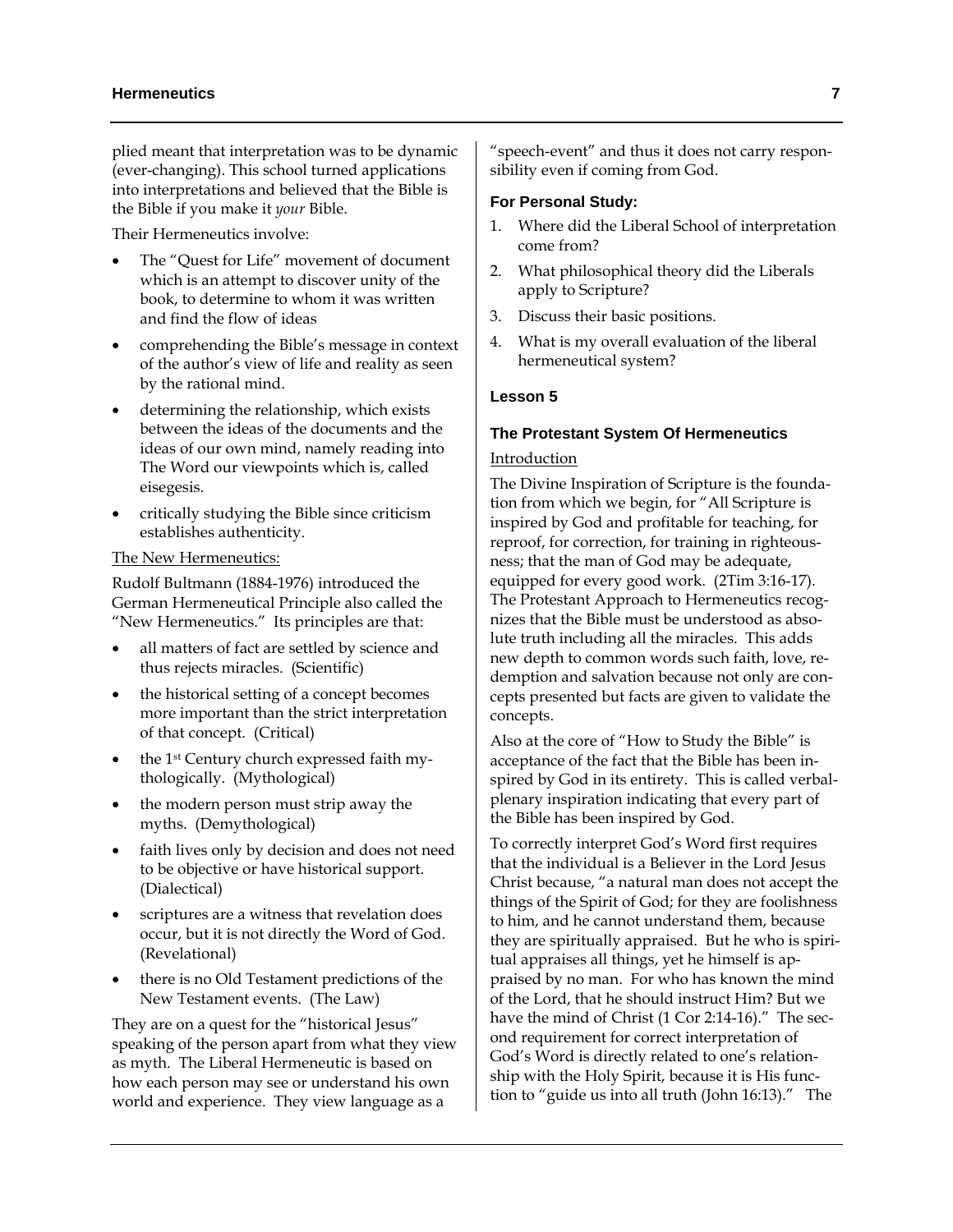plied meant that interpretation was to be dynamic (ever-changing). This school turned applications into interpretations and believed that the Bible is the Bible if you make it *your* Bible.

Their Hermeneutics involve:

- The "Quest for Life" movement of document which is an attempt to discover unity of the book, to determine to whom it was written and find the flow of ideas
- comprehending the Bible's message in context of the author's view of life and reality as seen by the rational mind.
- determining the relationship, which exists between the ideas of the documents and the ideas of our own mind, namely reading into The Word our viewpoints which is, called eisegesis.
- critically studying the Bible since criticism establishes authenticity.

#### The New Hermeneutics:

Rudolf Bultmann (1884-1976) introduced the German Hermeneutical Principle also called the "New Hermeneutics." Its principles are that:

- all matters of fact are settled by science and thus rejects miracles. (Scientific)
- the historical setting of a concept becomes more important than the strict interpretation of that concept. (Critical)
- the 1<sup>st</sup> Century church expressed faith mythologically. (Mythological)
- the modern person must strip away the myths. (Demythological)
- faith lives only by decision and does not need to be objective or have historical support. (Dialectical)
- scriptures are a witness that revelation does occur, but it is not directly the Word of God. (Revelational)
- there is no Old Testament predictions of the New Testament events. (The Law)

They are on a quest for the "historical Jesus" speaking of the person apart from what they view as myth. The Liberal Hermeneutic is based on how each person may see or understand his own world and experience. They view language as a

"speech-event" and thus it does not carry responsibility even if coming from God.

#### **For Personal Study:**

- 1. Where did the Liberal School of interpretation come from?
- 2. What philosophical theory did the Liberals apply to Scripture?
- 3. Discuss their basic positions.
- 4. What is my overall evaluation of the liberal hermeneutical system?

#### **Lesson 5**

#### **The Protestant System Of Hermeneutics**

# Introduction

The Divine Inspiration of Scripture is the foundation from which we begin, for "All Scripture is inspired by God and profitable for teaching, for reproof, for correction, for training in righteousness; that the man of God may be adequate, equipped for every good work. (2Tim 3:16-17). The Protestant Approach to Hermeneutics recognizes that the Bible must be understood as absolute truth including all the miracles. This adds new depth to common words such faith, love, redemption and salvation because not only are concepts presented but facts are given to validate the concepts.

Also at the core of "How to Study the Bible" is acceptance of the fact that the Bible has been inspired by God in its entirety. This is called verbalplenary inspiration indicating that every part of the Bible has been inspired by God.

To correctly interpret God's Word first requires that the individual is a Believer in the Lord Jesus Christ because, "a natural man does not accept the things of the Spirit of God; for they are foolishness to him, and he cannot understand them, because they are spiritually appraised. But he who is spiritual appraises all things, yet he himself is appraised by no man. For who has known the mind of the Lord, that he should instruct Him? But we have the mind of Christ (1 Cor 2:14-16)." The second requirement for correct interpretation of God's Word is directly related to one's relationship with the Holy Spirit, because it is His function to "guide us into all truth (John 16:13)." The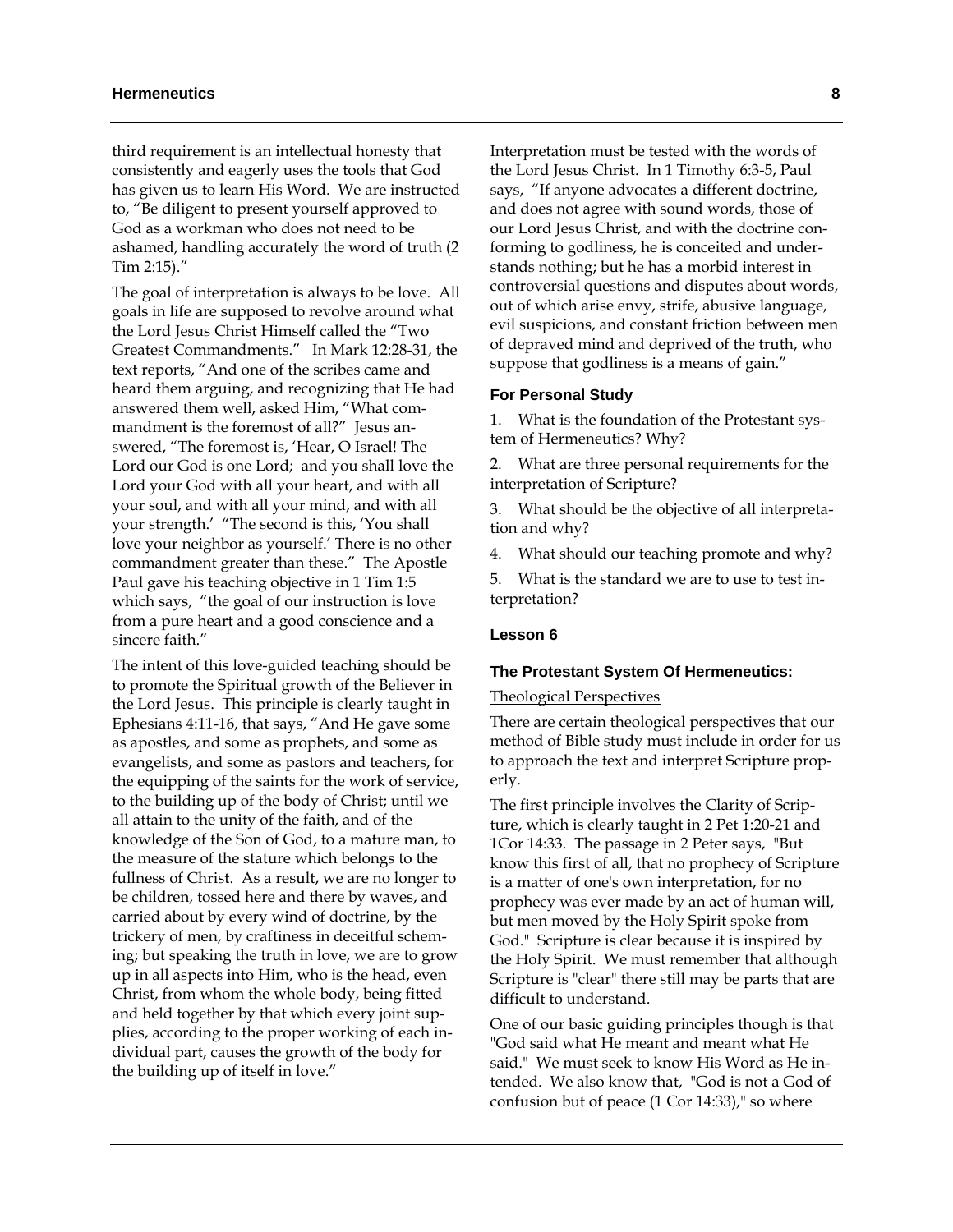third requirement is an intellectual honesty that consistently and eagerly uses the tools that God has given us to learn His Word. We are instructed to, "Be diligent to present yourself approved to God as a workman who does not need to be ashamed, handling accurately the word of truth (2 Tim 2:15)."

The goal of interpretation is always to be love. All goals in life are supposed to revolve around what the Lord Jesus Christ Himself called the "Two Greatest Commandments." In Mark 12:28-31, the text reports, "And one of the scribes came and heard them arguing, and recognizing that He had answered them well, asked Him, "What commandment is the foremost of all?" Jesus answered, "The foremost is, 'Hear, O Israel! The Lord our God is one Lord; and you shall love the Lord your God with all your heart, and with all your soul, and with all your mind, and with all your strength.' "The second is this, 'You shall love your neighbor as yourself.' There is no other commandment greater than these." The Apostle Paul gave his teaching objective in 1 Tim 1:5 which says, "the goal of our instruction is love from a pure heart and a good conscience and a sincere faith."

The intent of this love-guided teaching should be to promote the Spiritual growth of the Believer in the Lord Jesus. This principle is clearly taught in Ephesians 4:11-16, that says, "And He gave some as apostles, and some as prophets, and some as evangelists, and some as pastors and teachers, for the equipping of the saints for the work of service, to the building up of the body of Christ; until we all attain to the unity of the faith, and of the knowledge of the Son of God, to a mature man, to the measure of the stature which belongs to the fullness of Christ. As a result, we are no longer to be children, tossed here and there by waves, and carried about by every wind of doctrine, by the trickery of men, by craftiness in deceitful scheming; but speaking the truth in love, we are to grow up in all aspects into Him, who is the head, even Christ, from whom the whole body, being fitted and held together by that which every joint supplies, according to the proper working of each individual part, causes the growth of the body for the building up of itself in love."

Interpretation must be tested with the words of the Lord Jesus Christ. In 1 Timothy 6:3-5, Paul says, "If anyone advocates a different doctrine, and does not agree with sound words, those of our Lord Jesus Christ, and with the doctrine conforming to godliness, he is conceited and understands nothing; but he has a morbid interest in controversial questions and disputes about words, out of which arise envy, strife, abusive language, evil suspicions, and constant friction between men of depraved mind and deprived of the truth, who suppose that godliness is a means of gain."

#### **For Personal Study**

1. What is the foundation of the Protestant system of Hermeneutics? Why?

What are three personal requirements for the interpretation of Scripture?

3. What should be the objective of all interpretation and why?

4. What should our teaching promote and why?

5. What is the standard we are to use to test interpretation?

#### **Lesson 6**

#### **The Protestant System Of Hermeneutics:**

#### Theological Perspectives

There are certain theological perspectives that our method of Bible study must include in order for us to approach the text and interpret Scripture properly.

The first principle involves the Clarity of Scripture, which is clearly taught in 2 Pet 1:20-21 and 1Cor 14:33. The passage in 2 Peter says, "But know this first of all, that no prophecy of Scripture is a matter of one's own interpretation, for no prophecy was ever made by an act of human will, but men moved by the Holy Spirit spoke from God." Scripture is clear because it is inspired by the Holy Spirit. We must remember that although Scripture is "clear" there still may be parts that are difficult to understand.

One of our basic guiding principles though is that "God said what He meant and meant what He said." We must seek to know His Word as He intended. We also know that, "God is not a God of confusion but of peace (1 Cor 14:33)," so where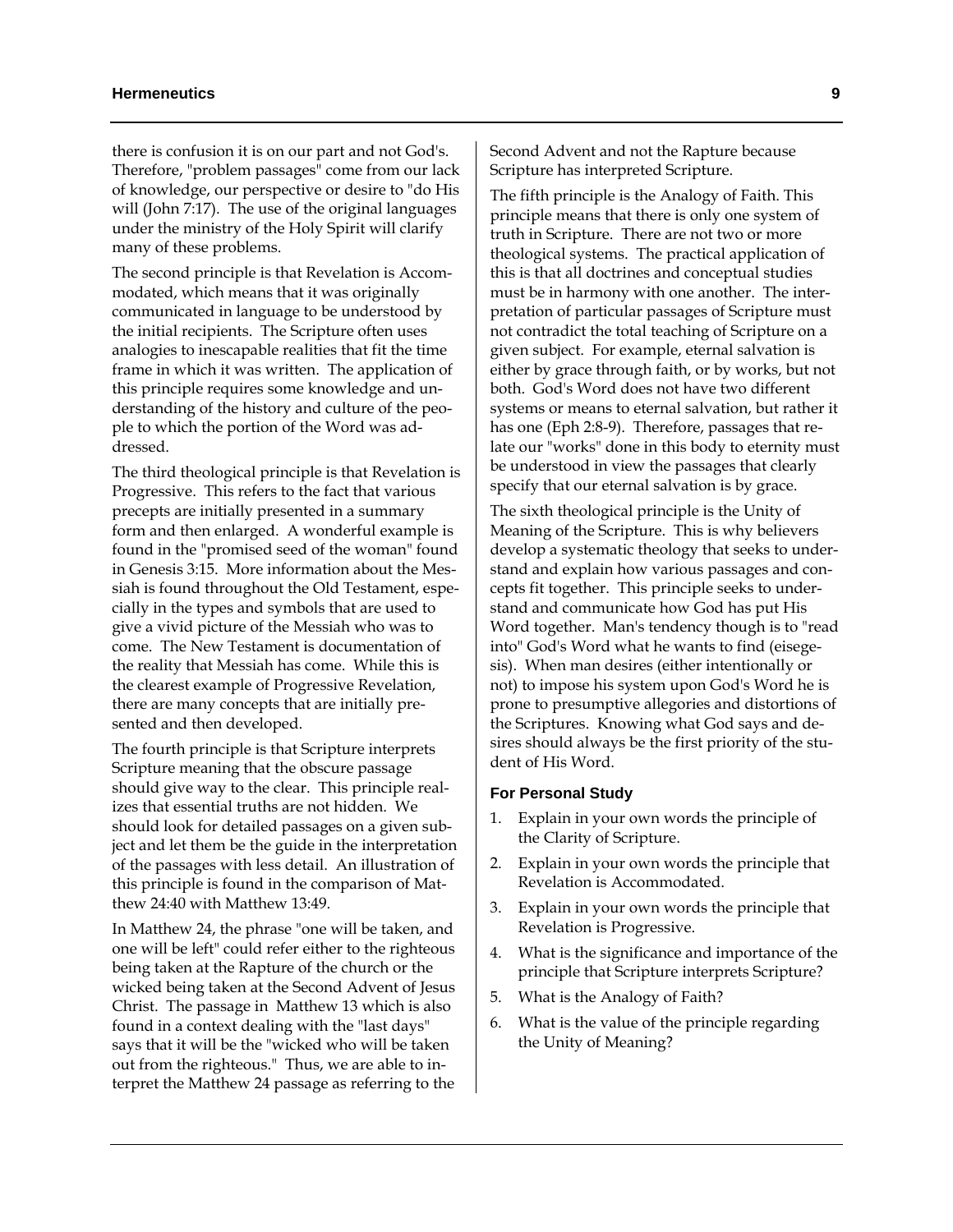there is confusion it is on our part and not God's. Therefore, "problem passages" come from our lack of knowledge, our perspective or desire to "do His will (John 7:17). The use of the original languages under the ministry of the Holy Spirit will clarify many of these problems.

The second principle is that Revelation is Accommodated, which means that it was originally communicated in language to be understood by the initial recipients. The Scripture often uses analogies to inescapable realities that fit the time frame in which it was written. The application of this principle requires some knowledge and understanding of the history and culture of the people to which the portion of the Word was addressed.

The third theological principle is that Revelation is Progressive. This refers to the fact that various precepts are initially presented in a summary form and then enlarged. A wonderful example is found in the "promised seed of the woman" found in Genesis 3:15. More information about the Messiah is found throughout the Old Testament, especially in the types and symbols that are used to give a vivid picture of the Messiah who was to come. The New Testament is documentation of the reality that Messiah has come. While this is the clearest example of Progressive Revelation, there are many concepts that are initially presented and then developed.

The fourth principle is that Scripture interprets Scripture meaning that the obscure passage should give way to the clear. This principle realizes that essential truths are not hidden. We should look for detailed passages on a given subject and let them be the guide in the interpretation of the passages with less detail. An illustration of this principle is found in the comparison of Matthew 24:40 with Matthew 13:49.

In Matthew 24, the phrase "one will be taken, and one will be left" could refer either to the righteous being taken at the Rapture of the church or the wicked being taken at the Second Advent of Jesus Christ. The passage in Matthew 13 which is also found in a context dealing with the "last days" says that it will be the "wicked who will be taken out from the righteous." Thus, we are able to interpret the Matthew 24 passage as referring to the

Second Advent and not the Rapture because Scripture has interpreted Scripture.

The fifth principle is the Analogy of Faith. This principle means that there is only one system of truth in Scripture. There are not two or more theological systems. The practical application of this is that all doctrines and conceptual studies must be in harmony with one another. The interpretation of particular passages of Scripture must not contradict the total teaching of Scripture on a given subject. For example, eternal salvation is either by grace through faith, or by works, but not both. God's Word does not have two different systems or means to eternal salvation, but rather it has one (Eph 2:8-9). Therefore, passages that relate our "works" done in this body to eternity must be understood in view the passages that clearly specify that our eternal salvation is by grace.

The sixth theological principle is the Unity of Meaning of the Scripture. This is why believers develop a systematic theology that seeks to understand and explain how various passages and concepts fit together. This principle seeks to understand and communicate how God has put His Word together. Man's tendency though is to "read into" God's Word what he wants to find (eisegesis). When man desires (either intentionally or not) to impose his system upon God's Word he is prone to presumptive allegories and distortions of the Scriptures. Knowing what God says and desires should always be the first priority of the student of His Word.

#### **For Personal Study**

- 1. Explain in your own words the principle of the Clarity of Scripture.
- 2. Explain in your own words the principle that Revelation is Accommodated.
- 3. Explain in your own words the principle that Revelation is Progressive.
- 4. What is the significance and importance of the principle that Scripture interprets Scripture?
- 5. What is the Analogy of Faith?
- 6. What is the value of the principle regarding the Unity of Meaning?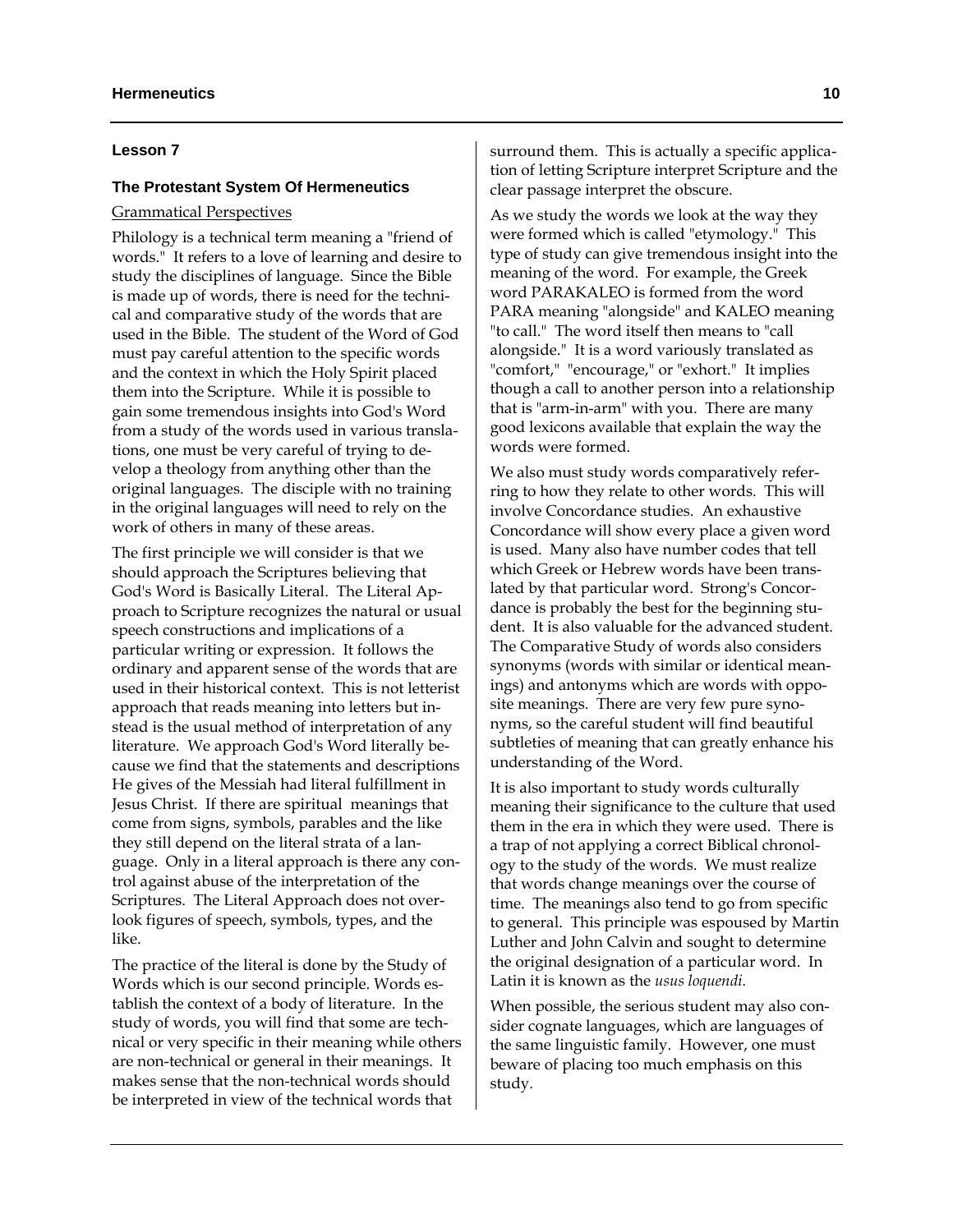#### **Lesson 7**

# **The Protestant System Of Hermeneutics**

#### Grammatical Perspectives

Philology is a technical term meaning a "friend of words." It refers to a love of learning and desire to study the disciplines of language. Since the Bible is made up of words, there is need for the technical and comparative study of the words that are used in the Bible. The student of the Word of God must pay careful attention to the specific words and the context in which the Holy Spirit placed them into the Scripture. While it is possible to gain some tremendous insights into God's Word from a study of the words used in various translations, one must be very careful of trying to develop a theology from anything other than the original languages. The disciple with no training in the original languages will need to rely on the work of others in many of these areas.

The first principle we will consider is that we should approach the Scriptures believing that God's Word is Basically Literal. The Literal Approach to Scripture recognizes the natural or usual speech constructions and implications of a particular writing or expression. It follows the ordinary and apparent sense of the words that are used in their historical context. This is not letterist approach that reads meaning into letters but instead is the usual method of interpretation of any literature. We approach God's Word literally because we find that the statements and descriptions He gives of the Messiah had literal fulfillment in Jesus Christ. If there are spiritual meanings that come from signs, symbols, parables and the like they still depend on the literal strata of a language. Only in a literal approach is there any control against abuse of the interpretation of the Scriptures. The Literal Approach does not overlook figures of speech, symbols, types, and the like.

The practice of the literal is done by the Study of Words which is our second principle. Words establish the context of a body of literature. In the study of words, you will find that some are technical or very specific in their meaning while others are non-technical or general in their meanings. It makes sense that the non-technical words should be interpreted in view of the technical words that

surround them. This is actually a specific application of letting Scripture interpret Scripture and the clear passage interpret the obscure.

As we study the words we look at the way they were formed which is called "etymology." This type of study can give tremendous insight into the meaning of the word. For example, the Greek word PARAKALEO is formed from the word PARA meaning "alongside" and KALEO meaning "to call." The word itself then means to "call alongside." It is a word variously translated as "comfort," "encourage," or "exhort." It implies though a call to another person into a relationship that is "arm-in-arm" with you. There are many good lexicons available that explain the way the words were formed.

We also must study words comparatively referring to how they relate to other words. This will involve Concordance studies. An exhaustive Concordance will show every place a given word is used. Many also have number codes that tell which Greek or Hebrew words have been translated by that particular word. Strong's Concordance is probably the best for the beginning student. It is also valuable for the advanced student. The Comparative Study of words also considers synonyms (words with similar or identical meanings) and antonyms which are words with opposite meanings. There are very few pure synonyms, so the careful student will find beautiful subtleties of meaning that can greatly enhance his understanding of the Word.

It is also important to study words culturally meaning their significance to the culture that used them in the era in which they were used. There is a trap of not applying a correct Biblical chronology to the study of the words. We must realize that words change meanings over the course of time. The meanings also tend to go from specific to general. This principle was espoused by Martin Luther and John Calvin and sought to determine the original designation of a particular word. In Latin it is known as the *usus loquendi*.

When possible, the serious student may also consider cognate languages, which are languages of the same linguistic family. However, one must beware of placing too much emphasis on this study.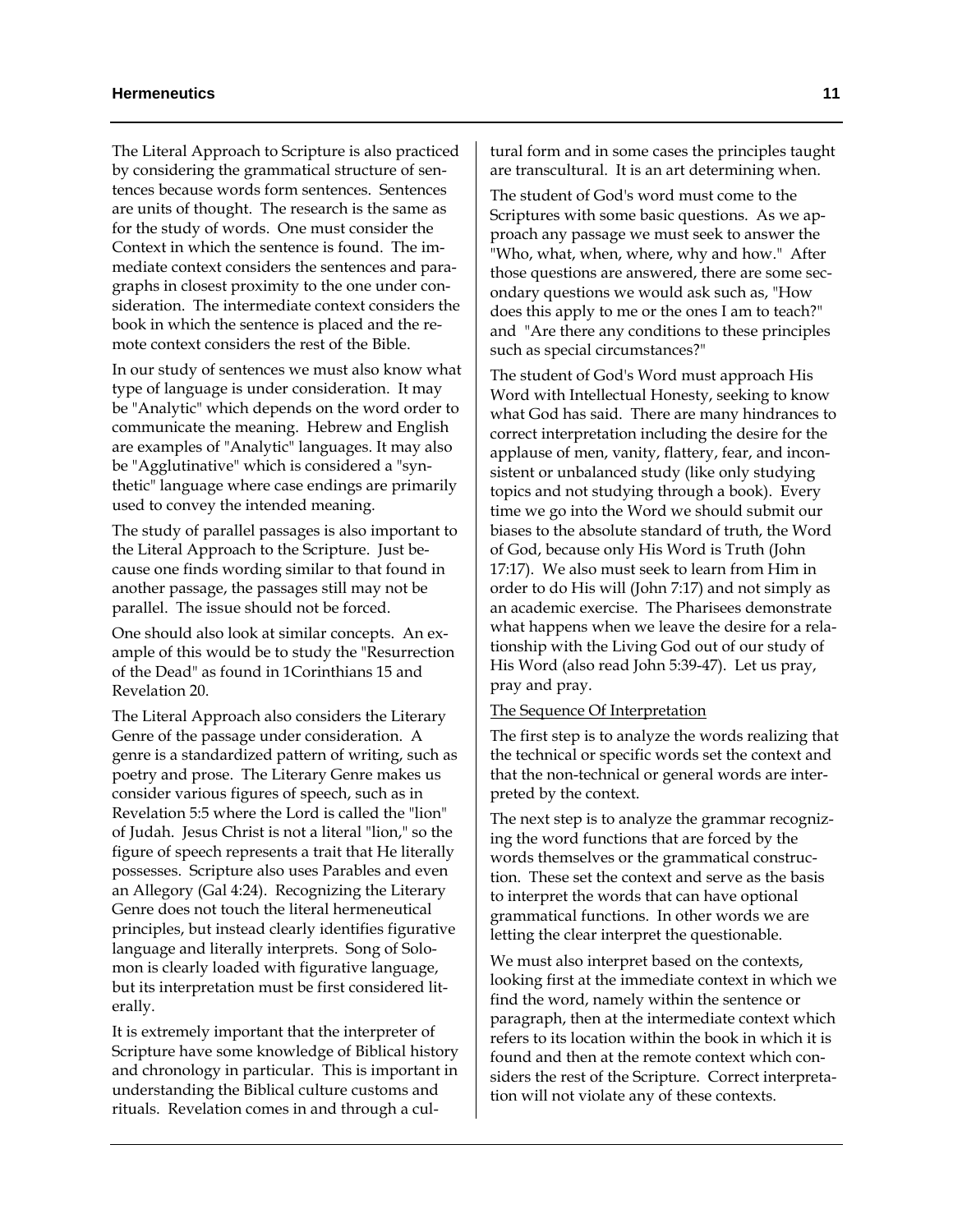The Literal Approach to Scripture is also practiced by considering the grammatical structure of sentences because words form sentences. Sentences are units of thought. The research is the same as for the study of words. One must consider the Context in which the sentence is found. The immediate context considers the sentences and paragraphs in closest proximity to the one under consideration. The intermediate context considers the book in which the sentence is placed and the remote context considers the rest of the Bible.

In our study of sentences we must also know what type of language is under consideration. It may be "Analytic" which depends on the word order to communicate the meaning. Hebrew and English are examples of "Analytic" languages. It may also be "Agglutinative" which is considered a "synthetic" language where case endings are primarily used to convey the intended meaning.

The study of parallel passages is also important to the Literal Approach to the Scripture. Just because one finds wording similar to that found in another passage, the passages still may not be parallel. The issue should not be forced.

One should also look at similar concepts. An example of this would be to study the "Resurrection of the Dead" as found in 1Corinthians 15 and Revelation 20.

The Literal Approach also considers the Literary Genre of the passage under consideration. A genre is a standardized pattern of writing, such as poetry and prose. The Literary Genre makes us consider various figures of speech, such as in Revelation 5:5 where the Lord is called the "lion" of Judah. Jesus Christ is not a literal "lion," so the figure of speech represents a trait that He literally possesses. Scripture also uses Parables and even an Allegory (Gal 4:24). Recognizing the Literary Genre does not touch the literal hermeneutical principles, but instead clearly identifies figurative language and literally interprets. Song of Solomon is clearly loaded with figurative language, but its interpretation must be first considered literally.

It is extremely important that the interpreter of Scripture have some knowledge of Biblical history and chronology in particular. This is important in understanding the Biblical culture customs and rituals. Revelation comes in and through a cul-

tural form and in some cases the principles taught are transcultural. It is an art determining when.

The student of God's word must come to the Scriptures with some basic questions. As we approach any passage we must seek to answer the "Who, what, when, where, why and how." After those questions are answered, there are some secondary questions we would ask such as, "How does this apply to me or the ones I am to teach?" and "Are there any conditions to these principles such as special circumstances?"

The student of God's Word must approach His Word with Intellectual Honesty, seeking to know what God has said. There are many hindrances to correct interpretation including the desire for the applause of men, vanity, flattery, fear, and inconsistent or unbalanced study (like only studying topics and not studying through a book). Every time we go into the Word we should submit our biases to the absolute standard of truth, the Word of God, because only His Word is Truth (John 17:17). We also must seek to learn from Him in order to do His will (John 7:17) and not simply as an academic exercise. The Pharisees demonstrate what happens when we leave the desire for a relationship with the Living God out of our study of His Word (also read John 5:39-47). Let us pray, pray and pray.

#### The Sequence Of Interpretation

The first step is to analyze the words realizing that the technical or specific words set the context and that the non-technical or general words are interpreted by the context.

The next step is to analyze the grammar recognizing the word functions that are forced by the words themselves or the grammatical construction. These set the context and serve as the basis to interpret the words that can have optional grammatical functions. In other words we are letting the clear interpret the questionable.

We must also interpret based on the contexts, looking first at the immediate context in which we find the word, namely within the sentence or paragraph, then at the intermediate context which refers to its location within the book in which it is found and then at the remote context which considers the rest of the Scripture. Correct interpretation will not violate any of these contexts.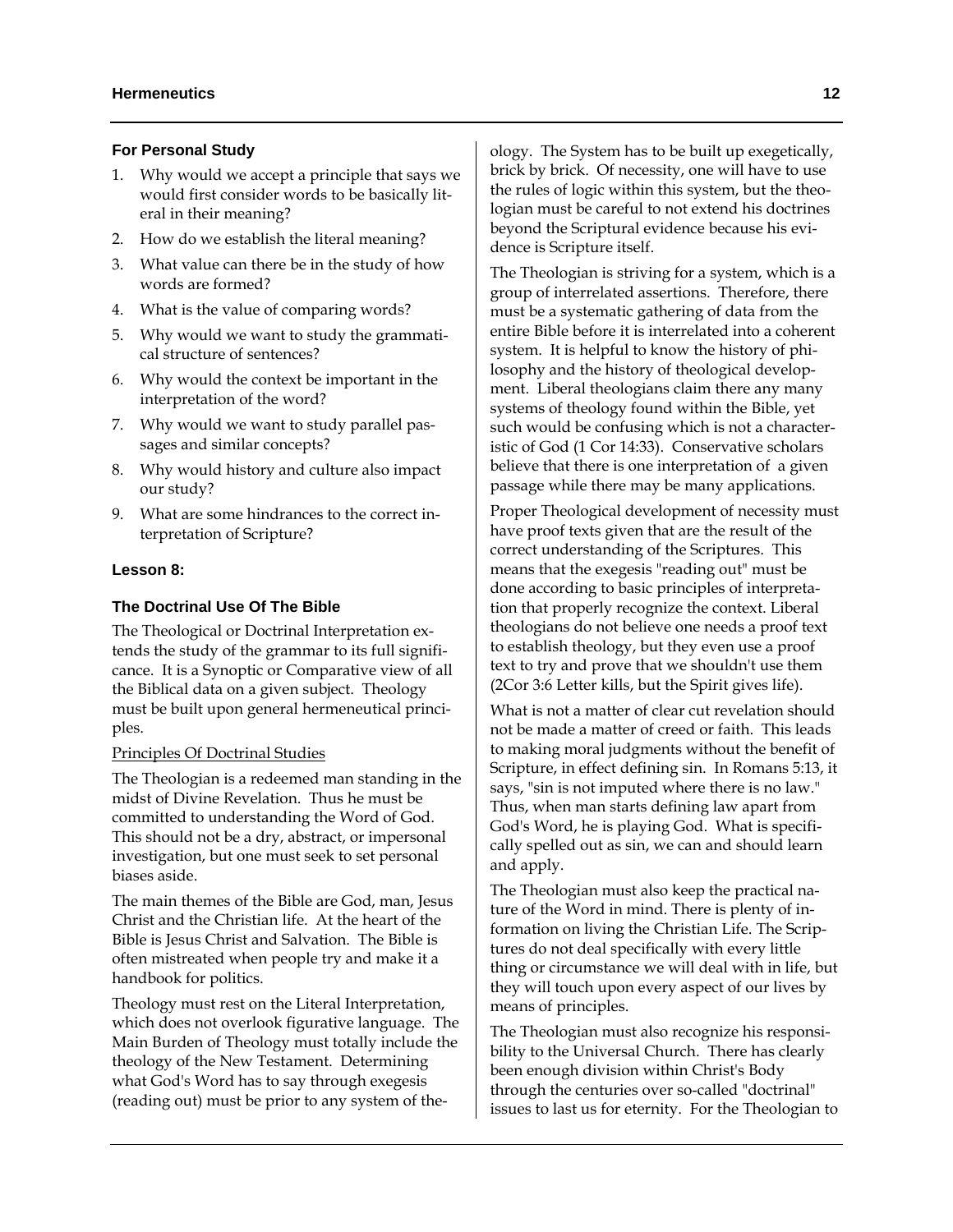# **For Personal Study**

- 1. Why would we accept a principle that says we would first consider words to be basically literal in their meaning?
- 2. How do we establish the literal meaning?
- 3. What value can there be in the study of how words are formed?
- 4. What is the value of comparing words?
- 5. Why would we want to study the grammatical structure of sentences?
- 6. Why would the context be important in the interpretation of the word?
- 7. Why would we want to study parallel passages and similar concepts?
- 8. Why would history and culture also impact our study?
- 9. What are some hindrances to the correct interpretation of Scripture?

#### **Lesson 8:**

# **The Doctrinal Use Of The Bible**

The Theological or Doctrinal Interpretation extends the study of the grammar to its full significance. It is a Synoptic or Comparative view of all the Biblical data on a given subject. Theology must be built upon general hermeneutical principles.

#### Principles Of Doctrinal Studies

The Theologian is a redeemed man standing in the midst of Divine Revelation. Thus he must be committed to understanding the Word of God. This should not be a dry, abstract, or impersonal investigation, but one must seek to set personal biases aside.

The main themes of the Bible are God, man, Jesus Christ and the Christian life. At the heart of the Bible is Jesus Christ and Salvation. The Bible is often mistreated when people try and make it a handbook for politics.

Theology must rest on the Literal Interpretation, which does not overlook figurative language. The Main Burden of Theology must totally include the theology of the New Testament. Determining what God's Word has to say through exegesis (reading out) must be prior to any system of theology. The System has to be built up exegetically, brick by brick. Of necessity, one will have to use the rules of logic within this system, but the theologian must be careful to not extend his doctrines beyond the Scriptural evidence because his evidence is Scripture itself.

The Theologian is striving for a system, which is a group of interrelated assertions. Therefore, there must be a systematic gathering of data from the entire Bible before it is interrelated into a coherent system. It is helpful to know the history of philosophy and the history of theological development. Liberal theologians claim there any many systems of theology found within the Bible, yet such would be confusing which is not a characteristic of God (1 Cor 14:33). Conservative scholars believe that there is one interpretation of a given passage while there may be many applications.

Proper Theological development of necessity must have proof texts given that are the result of the correct understanding of the Scriptures. This means that the exegesis "reading out" must be done according to basic principles of interpretation that properly recognize the context. Liberal theologians do not believe one needs a proof text to establish theology, but they even use a proof text to try and prove that we shouldn't use them (2Cor 3:6 Letter kills, but the Spirit gives life).

What is not a matter of clear cut revelation should not be made a matter of creed or faith. This leads to making moral judgments without the benefit of Scripture, in effect defining sin. In Romans 5:13, it says, "sin is not imputed where there is no law." Thus, when man starts defining law apart from God's Word, he is playing God. What is specifically spelled out as sin, we can and should learn and apply.

The Theologian must also keep the practical nature of the Word in mind. There is plenty of information on living the Christian Life. The Scriptures do not deal specifically with every little thing or circumstance we will deal with in life, but they will touch upon every aspect of our lives by means of principles.

The Theologian must also recognize his responsibility to the Universal Church. There has clearly been enough division within Christ's Body through the centuries over so-called "doctrinal" issues to last us for eternity. For the Theologian to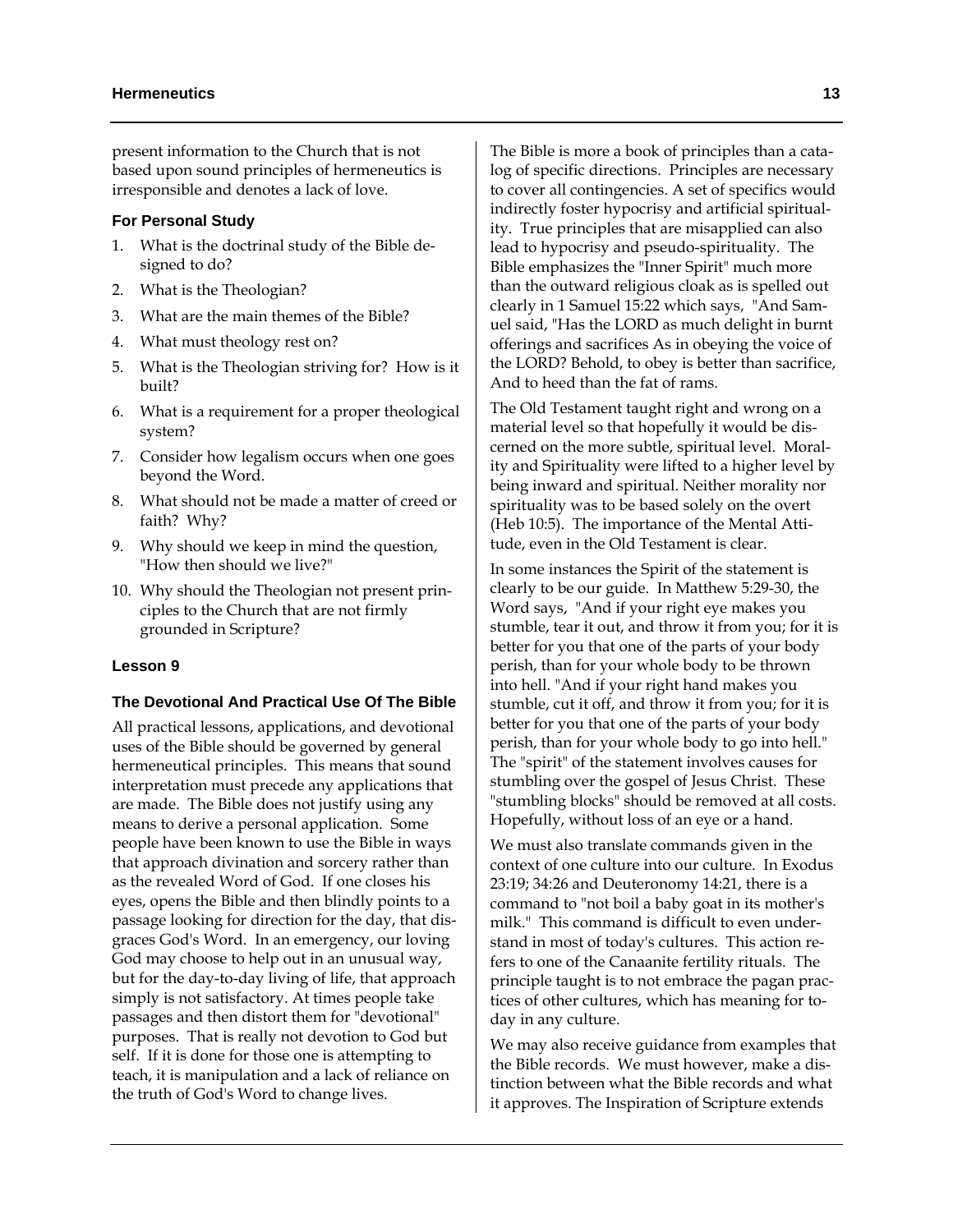present information to the Church that is not based upon sound principles of hermeneutics is irresponsible and denotes a lack of love.

#### **For Personal Study**

- 1. What is the doctrinal study of the Bible designed to do?
- 2. What is the Theologian?
- 3. What are the main themes of the Bible?
- 4. What must theology rest on?
- 5. What is the Theologian striving for? How is it built?
- 6. What is a requirement for a proper theological system?
- 7. Consider how legalism occurs when one goes beyond the Word.
- 8. What should not be made a matter of creed or faith? Why?
- 9. Why should we keep in mind the question, "How then should we live?"
- 10. Why should the Theologian not present principles to the Church that are not firmly grounded in Scripture?

# **Lesson 9**

#### **The Devotional And Practical Use Of The Bible**

All practical lessons, applications, and devotional uses of the Bible should be governed by general hermeneutical principles. This means that sound interpretation must precede any applications that are made. The Bible does not justify using any means to derive a personal application. Some people have been known to use the Bible in ways that approach divination and sorcery rather than as the revealed Word of God. If one closes his eyes, opens the Bible and then blindly points to a passage looking for direction for the day, that disgraces God's Word. In an emergency, our loving God may choose to help out in an unusual way, but for the day-to-day living of life, that approach simply is not satisfactory. At times people take passages and then distort them for "devotional" purposes. That is really not devotion to God but self. If it is done for those one is attempting to teach, it is manipulation and a lack of reliance on the truth of God's Word to change lives.

The Bible is more a book of principles than a catalog of specific directions. Principles are necessary to cover all contingencies. A set of specifics would indirectly foster hypocrisy and artificial spirituality. True principles that are misapplied can also lead to hypocrisy and pseudo-spirituality. The Bible emphasizes the "Inner Spirit" much more than the outward religious cloak as is spelled out clearly in 1 Samuel 15:22 which says, "And Samuel said, "Has the LORD as much delight in burnt offerings and sacrifices As in obeying the voice of the LORD? Behold, to obey is better than sacrifice, And to heed than the fat of rams.

The Old Testament taught right and wrong on a material level so that hopefully it would be discerned on the more subtle, spiritual level. Morality and Spirituality were lifted to a higher level by being inward and spiritual. Neither morality nor spirituality was to be based solely on the overt (Heb 10:5). The importance of the Mental Attitude, even in the Old Testament is clear.

In some instances the Spirit of the statement is clearly to be our guide. In Matthew 5:29-30, the Word says, "And if your right eye makes you stumble, tear it out, and throw it from you; for it is better for you that one of the parts of your body perish, than for your whole body to be thrown into hell. "And if your right hand makes you stumble, cut it off, and throw it from you; for it is better for you that one of the parts of your body perish, than for your whole body to go into hell." The "spirit" of the statement involves causes for stumbling over the gospel of Jesus Christ. These "stumbling blocks" should be removed at all costs. Hopefully, without loss of an eye or a hand.

We must also translate commands given in the context of one culture into our culture. In Exodus 23:19; 34:26 and Deuteronomy 14:21, there is a command to "not boil a baby goat in its mother's milk." This command is difficult to even understand in most of today's cultures. This action refers to one of the Canaanite fertility rituals. The principle taught is to not embrace the pagan practices of other cultures, which has meaning for today in any culture.

We may also receive guidance from examples that the Bible records. We must however, make a distinction between what the Bible records and what it approves. The Inspiration of Scripture extends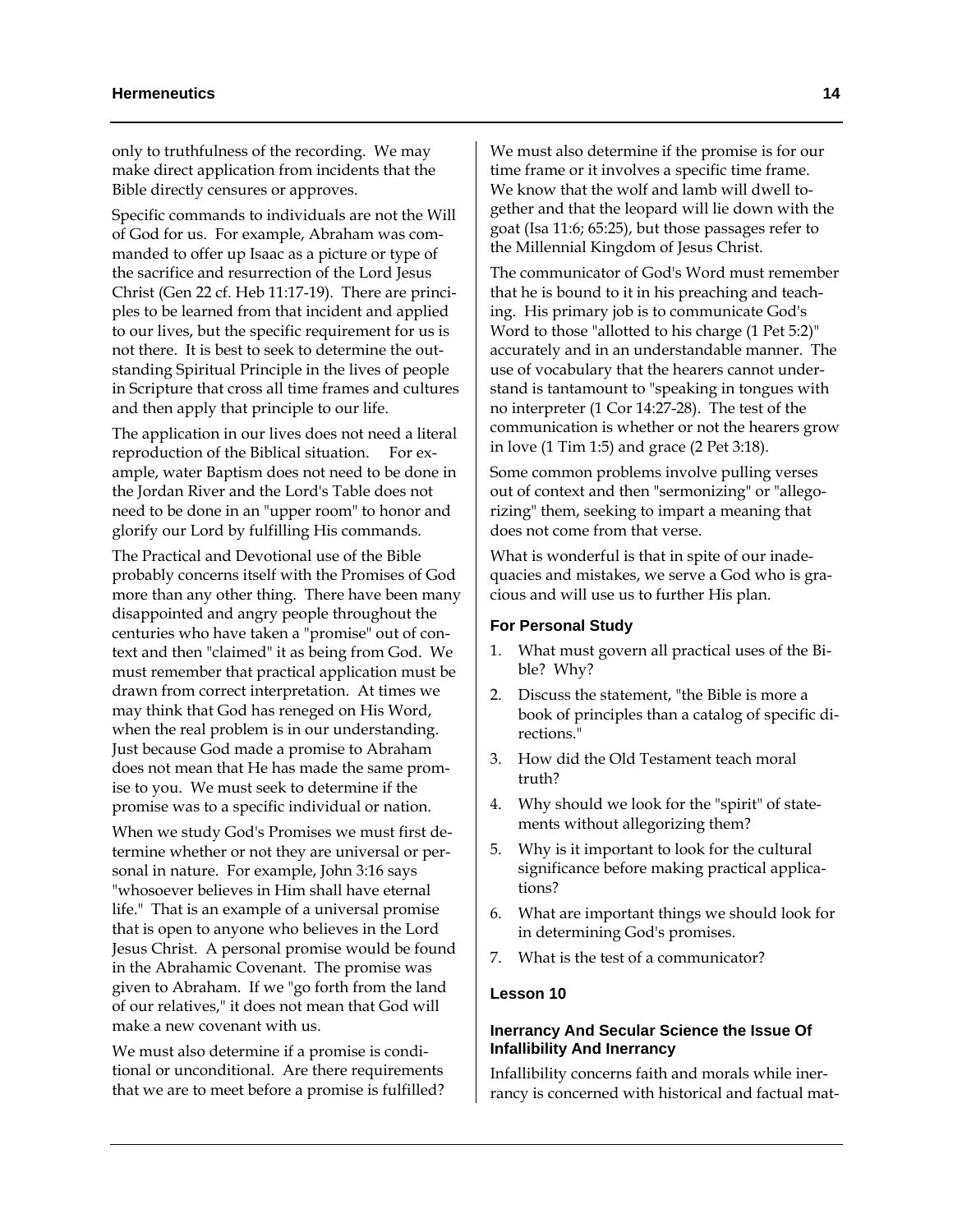only to truthfulness of the recording. We may make direct application from incidents that the Bible directly censures or approves.

Specific commands to individuals are not the Will of God for us. For example, Abraham was commanded to offer up Isaac as a picture or type of the sacrifice and resurrection of the Lord Jesus Christ (Gen 22 cf. Heb 11:17-19). There are principles to be learned from that incident and applied to our lives, but the specific requirement for us is not there. It is best to seek to determine the outstanding Spiritual Principle in the lives of people in Scripture that cross all time frames and cultures and then apply that principle to our life.

The application in our lives does not need a literal reproduction of the Biblical situation. For example, water Baptism does not need to be done in the Jordan River and the Lord's Table does not need to be done in an "upper room" to honor and glorify our Lord by fulfilling His commands.

The Practical and Devotional use of the Bible probably concerns itself with the Promises of God more than any other thing. There have been many disappointed and angry people throughout the centuries who have taken a "promise" out of context and then "claimed" it as being from God. We must remember that practical application must be drawn from correct interpretation. At times we may think that God has reneged on His Word, when the real problem is in our understanding. Just because God made a promise to Abraham does not mean that He has made the same promise to you. We must seek to determine if the promise was to a specific individual or nation.

When we study God's Promises we must first determine whether or not they are universal or personal in nature. For example, John 3:16 says "whosoever believes in Him shall have eternal life." That is an example of a universal promise that is open to anyone who believes in the Lord Jesus Christ. A personal promise would be found in the Abrahamic Covenant. The promise was given to Abraham. If we "go forth from the land of our relatives," it does not mean that God will make a new covenant with us.

We must also determine if a promise is conditional or unconditional. Are there requirements that we are to meet before a promise is fulfilled?

We must also determine if the promise is for our time frame or it involves a specific time frame. We know that the wolf and lamb will dwell together and that the leopard will lie down with the goat (Isa 11:6; 65:25), but those passages refer to the Millennial Kingdom of Jesus Christ.

The communicator of God's Word must remember that he is bound to it in his preaching and teaching. His primary job is to communicate God's Word to those "allotted to his charge (1 Pet 5:2)" accurately and in an understandable manner. The use of vocabulary that the hearers cannot understand is tantamount to "speaking in tongues with no interpreter (1 Cor 14:27-28). The test of the communication is whether or not the hearers grow in love (1 Tim 1:5) and grace (2 Pet 3:18).

Some common problems involve pulling verses out of context and then "sermonizing" or "allegorizing" them, seeking to impart a meaning that does not come from that verse.

What is wonderful is that in spite of our inadequacies and mistakes, we serve a God who is gracious and will use us to further His plan.

#### **For Personal Study**

- 1. What must govern all practical uses of the Bible? Why?
- 2. Discuss the statement, "the Bible is more a book of principles than a catalog of specific directions."
- 3. How did the Old Testament teach moral truth?
- 4. Why should we look for the "spirit" of statements without allegorizing them?
- 5. Why is it important to look for the cultural significance before making practical applications?
- 6. What are important things we should look for in determining God's promises.
- 7. What is the test of a communicator?

#### **Lesson 10**

# **Inerrancy And Secular Science the Issue Of Infallibility And Inerrancy**

Infallibility concerns faith and morals while inerrancy is concerned with historical and factual mat-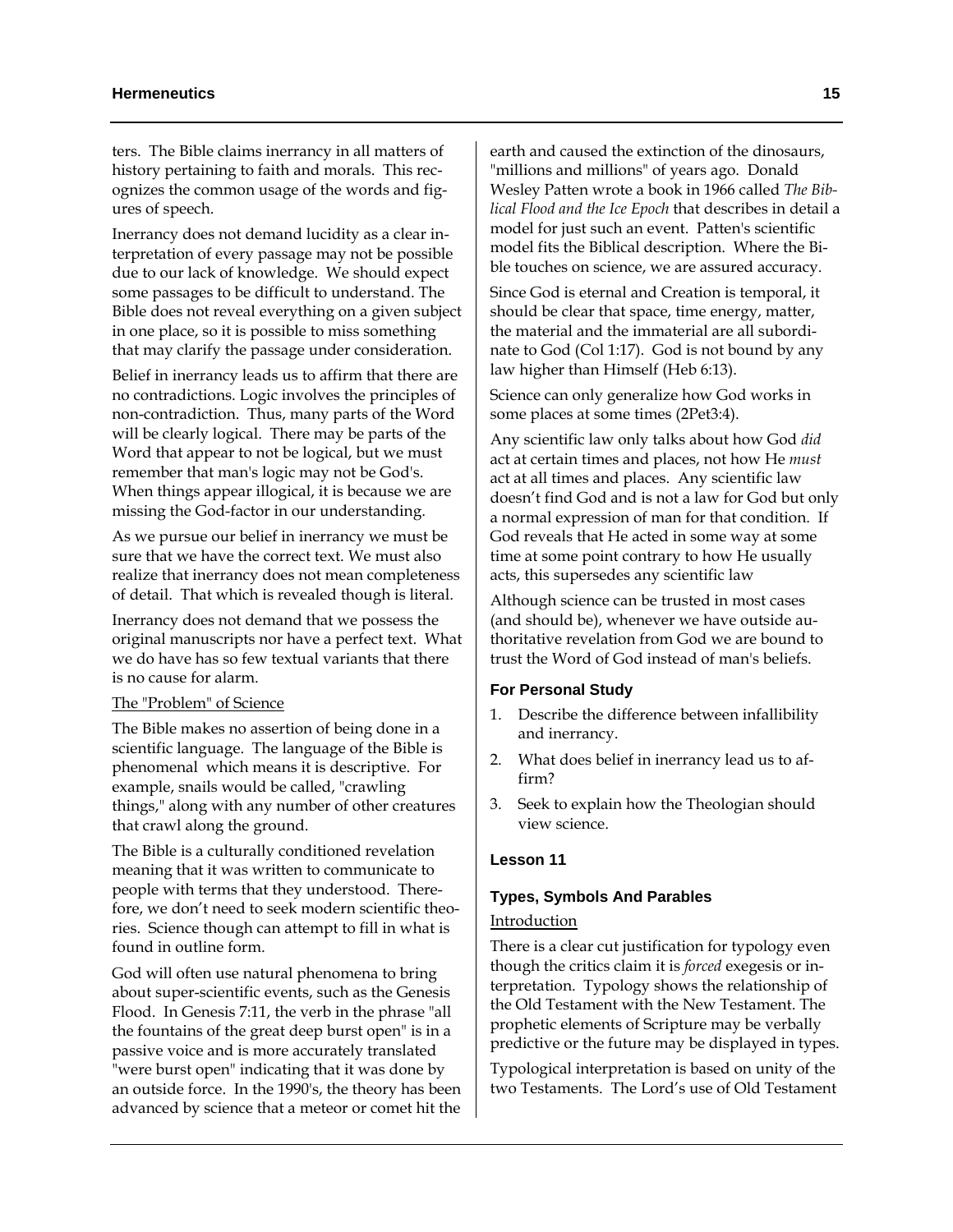#### **Hermeneutics** 15

ters. The Bible claims inerrancy in all matters of history pertaining to faith and morals. This recognizes the common usage of the words and figures of speech.

Inerrancy does not demand lucidity as a clear interpretation of every passage may not be possible due to our lack of knowledge. We should expect some passages to be difficult to understand. The Bible does not reveal everything on a given subject in one place, so it is possible to miss something that may clarify the passage under consideration.

Belief in inerrancy leads us to affirm that there are no contradictions. Logic involves the principles of non-contradiction. Thus, many parts of the Word will be clearly logical. There may be parts of the Word that appear to not be logical, but we must remember that man's logic may not be God's. When things appear illogical, it is because we are missing the God-factor in our understanding.

As we pursue our belief in inerrancy we must be sure that we have the correct text. We must also realize that inerrancy does not mean completeness of detail. That which is revealed though is literal.

Inerrancy does not demand that we possess the original manuscripts nor have a perfect text. What we do have has so few textual variants that there is no cause for alarm.

# The "Problem" of Science

The Bible makes no assertion of being done in a scientific language. The language of the Bible is phenomenal which means it is descriptive. For example, snails would be called, "crawling things," along with any number of other creatures that crawl along the ground.

The Bible is a culturally conditioned revelation meaning that it was written to communicate to people with terms that they understood. Therefore, we don't need to seek modern scientific theories. Science though can attempt to fill in what is found in outline form.

God will often use natural phenomena to bring about super-scientific events, such as the Genesis Flood. In Genesis 7:11, the verb in the phrase "all the fountains of the great deep burst open" is in a passive voice and is more accurately translated "were burst open" indicating that it was done by an outside force. In the 1990's, the theory has been advanced by science that a meteor or comet hit the earth and caused the extinction of the dinosaurs, "millions and millions" of years ago. Donald Wesley Patten wrote a book in 1966 called *The Biblical Flood and the Ice Epoch* that describes in detail a model for just such an event. Patten's scientific model fits the Biblical description. Where the Bible touches on science, we are assured accuracy.

Since God is eternal and Creation is temporal, it should be clear that space, time energy, matter, the material and the immaterial are all subordinate to God (Col 1:17). God is not bound by any law higher than Himself (Heb 6:13).

Science can only generalize how God works in some places at some times (2Pet3:4).

Any scientific law only talks about how God *did* act at certain times and places, not how He *must* act at all times and places. Any scientific law doesn't find God and is not a law for God but only a normal expression of man for that condition. If God reveals that He acted in some way at some time at some point contrary to how He usually acts, this supersedes any scientific law

Although science can be trusted in most cases (and should be), whenever we have outside authoritative revelation from God we are bound to trust the Word of God instead of man's beliefs.

#### **For Personal Study**

- 1. Describe the difference between infallibility and inerrancy.
- 2. What does belief in inerrancy lead us to affirm?
- 3. Seek to explain how the Theologian should view science.

# **Lesson 11**

# **Types, Symbols And Parables**

# **Introduction**

There is a clear cut justification for typology even though the critics claim it is *forced* exegesis or interpretation. Typology shows the relationship of the Old Testament with the New Testament. The prophetic elements of Scripture may be verbally predictive or the future may be displayed in types.

Typological interpretation is based on unity of the two Testaments. The Lord's use of Old Testament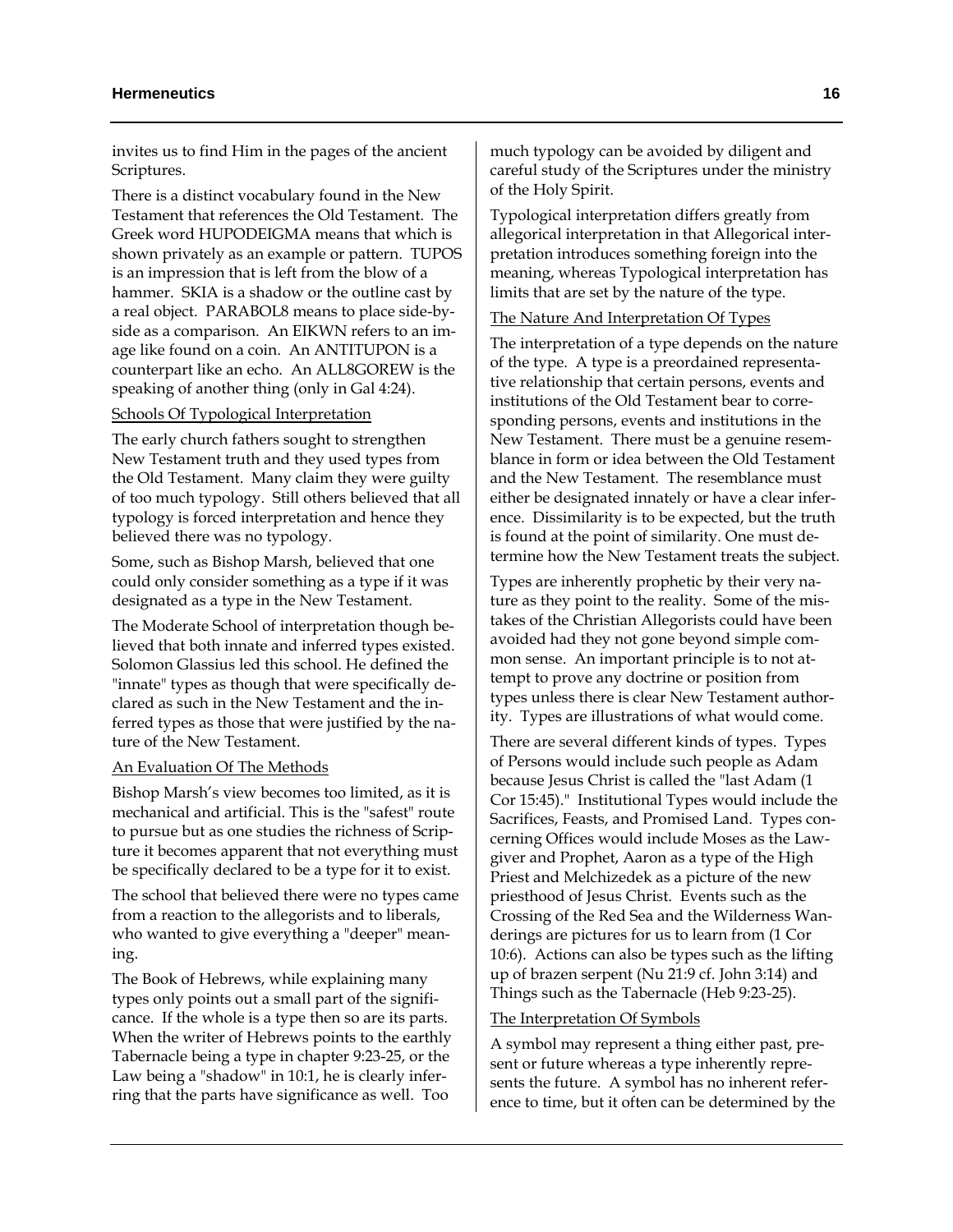invites us to find Him in the pages of the ancient Scriptures.

There is a distinct vocabulary found in the New Testament that references the Old Testament. The Greek word HUPODEIGMA means that which is shown privately as an example or pattern. TUPOS is an impression that is left from the blow of a hammer. SKIA is a shadow or the outline cast by a real object. PARABOL8 means to place side-byside as a comparison. An EIKWN refers to an image like found on a coin. An ANTITUPON is a counterpart like an echo. An ALL8GOREW is the speaking of another thing (only in Gal 4:24).

# Schools Of Typological Interpretation

The early church fathers sought to strengthen New Testament truth and they used types from the Old Testament. Many claim they were guilty of too much typology. Still others believed that all typology is forced interpretation and hence they believed there was no typology.

Some, such as Bishop Marsh, believed that one could only consider something as a type if it was designated as a type in the New Testament.

The Moderate School of interpretation though believed that both innate and inferred types existed. Solomon Glassius led this school. He defined the "innate" types as though that were specifically declared as such in the New Testament and the inferred types as those that were justified by the nature of the New Testament.

#### An Evaluation Of The Methods

Bishop Marsh's view becomes too limited, as it is mechanical and artificial. This is the "safest" route to pursue but as one studies the richness of Scripture it becomes apparent that not everything must be specifically declared to be a type for it to exist.

The school that believed there were no types came from a reaction to the allegorists and to liberals, who wanted to give everything a "deeper" meaning.

The Book of Hebrews, while explaining many types only points out a small part of the significance. If the whole is a type then so are its parts. When the writer of Hebrews points to the earthly Tabernacle being a type in chapter 9:23-25, or the Law being a "shadow" in 10:1, he is clearly inferring that the parts have significance as well. Too

much typology can be avoided by diligent and careful study of the Scriptures under the ministry of the Holy Spirit.

Typological interpretation differs greatly from allegorical interpretation in that Allegorical interpretation introduces something foreign into the meaning, whereas Typological interpretation has limits that are set by the nature of the type.

# The Nature And Interpretation Of Types

The interpretation of a type depends on the nature of the type. A type is a preordained representative relationship that certain persons, events and institutions of the Old Testament bear to corresponding persons, events and institutions in the New Testament. There must be a genuine resemblance in form or idea between the Old Testament and the New Testament. The resemblance must either be designated innately or have a clear inference. Dissimilarity is to be expected, but the truth is found at the point of similarity. One must determine how the New Testament treats the subject.

Types are inherently prophetic by their very nature as they point to the reality. Some of the mistakes of the Christian Allegorists could have been avoided had they not gone beyond simple common sense. An important principle is to not attempt to prove any doctrine or position from types unless there is clear New Testament authority. Types are illustrations of what would come.

There are several different kinds of types. Types of Persons would include such people as Adam because Jesus Christ is called the "last Adam (1 Cor 15:45)." Institutional Types would include the Sacrifices, Feasts, and Promised Land. Types concerning Offices would include Moses as the Lawgiver and Prophet, Aaron as a type of the High Priest and Melchizedek as a picture of the new priesthood of Jesus Christ. Events such as the Crossing of the Red Sea and the Wilderness Wanderings are pictures for us to learn from (1 Cor 10:6). Actions can also be types such as the lifting up of brazen serpent (Nu 21:9 cf. John 3:14) and Things such as the Tabernacle (Heb 9:23-25).

#### The Interpretation Of Symbols

A symbol may represent a thing either past, present or future whereas a type inherently represents the future. A symbol has no inherent reference to time, but it often can be determined by the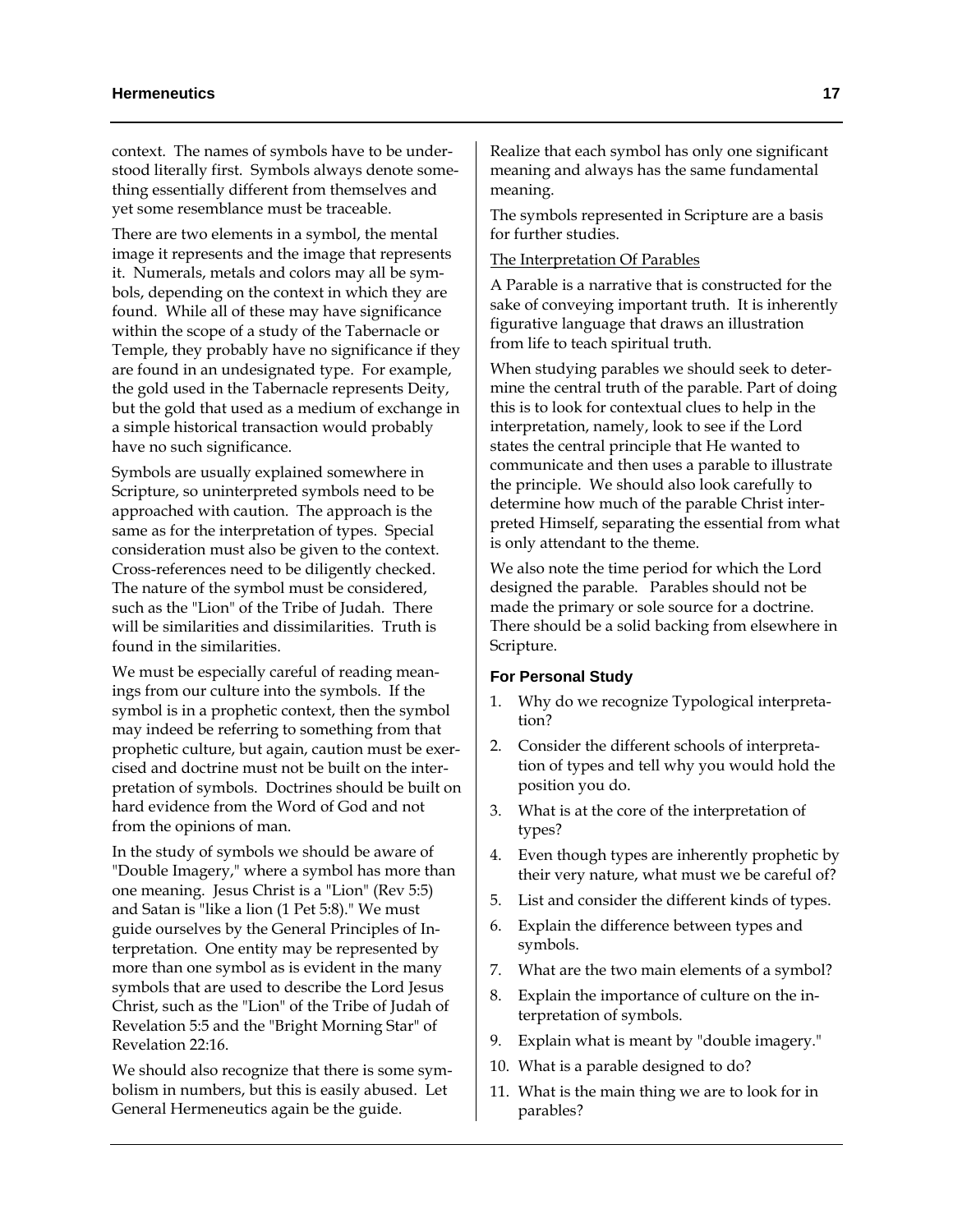context. The names of symbols have to be understood literally first. Symbols always denote something essentially different from themselves and yet some resemblance must be traceable.

There are two elements in a symbol, the mental image it represents and the image that represents it. Numerals, metals and colors may all be symbols, depending on the context in which they are found. While all of these may have significance within the scope of a study of the Tabernacle or Temple, they probably have no significance if they are found in an undesignated type. For example, the gold used in the Tabernacle represents Deity, but the gold that used as a medium of exchange in a simple historical transaction would probably have no such significance.

Symbols are usually explained somewhere in Scripture, so uninterpreted symbols need to be approached with caution. The approach is the same as for the interpretation of types. Special consideration must also be given to the context. Cross-references need to be diligently checked. The nature of the symbol must be considered, such as the "Lion" of the Tribe of Judah. There will be similarities and dissimilarities. Truth is found in the similarities.

We must be especially careful of reading meanings from our culture into the symbols. If the symbol is in a prophetic context, then the symbol may indeed be referring to something from that prophetic culture, but again, caution must be exercised and doctrine must not be built on the interpretation of symbols. Doctrines should be built on hard evidence from the Word of God and not from the opinions of man.

In the study of symbols we should be aware of "Double Imagery," where a symbol has more than one meaning. Jesus Christ is a "Lion" (Rev 5:5) and Satan is "like a lion (1 Pet 5:8)." We must guide ourselves by the General Principles of Interpretation. One entity may be represented by more than one symbol as is evident in the many symbols that are used to describe the Lord Jesus Christ, such as the "Lion" of the Tribe of Judah of Revelation 5:5 and the "Bright Morning Star" of Revelation 22:16.

We should also recognize that there is some symbolism in numbers, but this is easily abused. Let General Hermeneutics again be the guide.

Realize that each symbol has only one significant meaning and always has the same fundamental meaning.

The symbols represented in Scripture are a basis for further studies.

# The Interpretation Of Parables

A Parable is a narrative that is constructed for the sake of conveying important truth. It is inherently figurative language that draws an illustration from life to teach spiritual truth.

When studying parables we should seek to determine the central truth of the parable. Part of doing this is to look for contextual clues to help in the interpretation, namely, look to see if the Lord states the central principle that He wanted to communicate and then uses a parable to illustrate the principle. We should also look carefully to determine how much of the parable Christ interpreted Himself, separating the essential from what is only attendant to the theme.

We also note the time period for which the Lord designed the parable. Parables should not be made the primary or sole source for a doctrine. There should be a solid backing from elsewhere in Scripture.

#### **For Personal Study**

- 1. Why do we recognize Typological interpretation?
- 2. Consider the different schools of interpretation of types and tell why you would hold the position you do.
- 3. What is at the core of the interpretation of types?
- 4. Even though types are inherently prophetic by their very nature, what must we be careful of?
- 5. List and consider the different kinds of types.
- 6. Explain the difference between types and symbols.
- 7. What are the two main elements of a symbol?
- 8. Explain the importance of culture on the interpretation of symbols.
- 9. Explain what is meant by "double imagery."
- 10. What is a parable designed to do?
- 11. What is the main thing we are to look for in parables?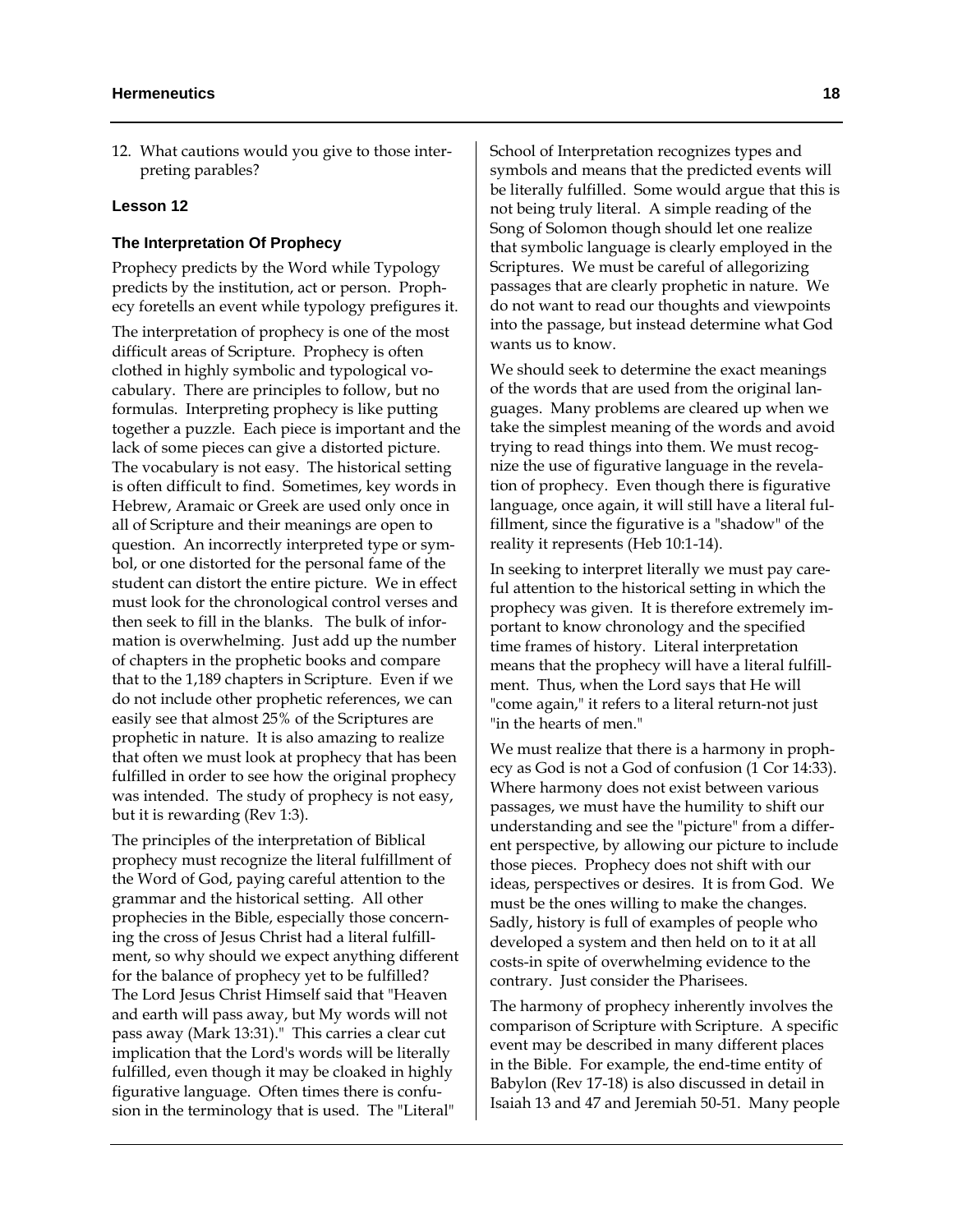12. What cautions would you give to those interpreting parables?

#### **Lesson 12**

#### **The Interpretation Of Prophecy**

Prophecy predicts by the Word while Typology predicts by the institution, act or person. Prophecy foretells an event while typology prefigures it.

The interpretation of prophecy is one of the most difficult areas of Scripture. Prophecy is often clothed in highly symbolic and typological vocabulary. There are principles to follow, but no formulas. Interpreting prophecy is like putting together a puzzle. Each piece is important and the lack of some pieces can give a distorted picture. The vocabulary is not easy. The historical setting is often difficult to find. Sometimes, key words in Hebrew, Aramaic or Greek are used only once in all of Scripture and their meanings are open to question. An incorrectly interpreted type or symbol, or one distorted for the personal fame of the student can distort the entire picture. We in effect must look for the chronological control verses and then seek to fill in the blanks. The bulk of information is overwhelming. Just add up the number of chapters in the prophetic books and compare that to the 1,189 chapters in Scripture. Even if we do not include other prophetic references, we can easily see that almost 25% of the Scriptures are prophetic in nature. It is also amazing to realize that often we must look at prophecy that has been fulfilled in order to see how the original prophecy was intended. The study of prophecy is not easy, but it is rewarding (Rev 1:3).

The principles of the interpretation of Biblical prophecy must recognize the literal fulfillment of the Word of God, paying careful attention to the grammar and the historical setting. All other prophecies in the Bible, especially those concerning the cross of Jesus Christ had a literal fulfillment, so why should we expect anything different for the balance of prophecy yet to be fulfilled? The Lord Jesus Christ Himself said that "Heaven and earth will pass away, but My words will not pass away (Mark 13:31)." This carries a clear cut implication that the Lord's words will be literally fulfilled, even though it may be cloaked in highly figurative language. Often times there is confusion in the terminology that is used. The "Literal"

School of Interpretation recognizes types and symbols and means that the predicted events will be literally fulfilled. Some would argue that this is not being truly literal. A simple reading of the Song of Solomon though should let one realize that symbolic language is clearly employed in the Scriptures. We must be careful of allegorizing passages that are clearly prophetic in nature. We do not want to read our thoughts and viewpoints into the passage, but instead determine what God wants us to know.

We should seek to determine the exact meanings of the words that are used from the original languages. Many problems are cleared up when we take the simplest meaning of the words and avoid trying to read things into them. We must recognize the use of figurative language in the revelation of prophecy. Even though there is figurative language, once again, it will still have a literal fulfillment, since the figurative is a "shadow" of the reality it represents (Heb 10:1-14).

In seeking to interpret literally we must pay careful attention to the historical setting in which the prophecy was given. It is therefore extremely important to know chronology and the specified time frames of history. Literal interpretation means that the prophecy will have a literal fulfillment. Thus, when the Lord says that He will "come again," it refers to a literal return-not just "in the hearts of men."

We must realize that there is a harmony in prophecy as God is not a God of confusion (1 Cor 14:33). Where harmony does not exist between various passages, we must have the humility to shift our understanding and see the "picture" from a different perspective, by allowing our picture to include those pieces. Prophecy does not shift with our ideas, perspectives or desires. It is from God. We must be the ones willing to make the changes. Sadly, history is full of examples of people who developed a system and then held on to it at all costs-in spite of overwhelming evidence to the contrary. Just consider the Pharisees.

The harmony of prophecy inherently involves the comparison of Scripture with Scripture. A specific event may be described in many different places in the Bible. For example, the end-time entity of Babylon (Rev 17-18) is also discussed in detail in Isaiah 13 and 47 and Jeremiah 50-51. Many people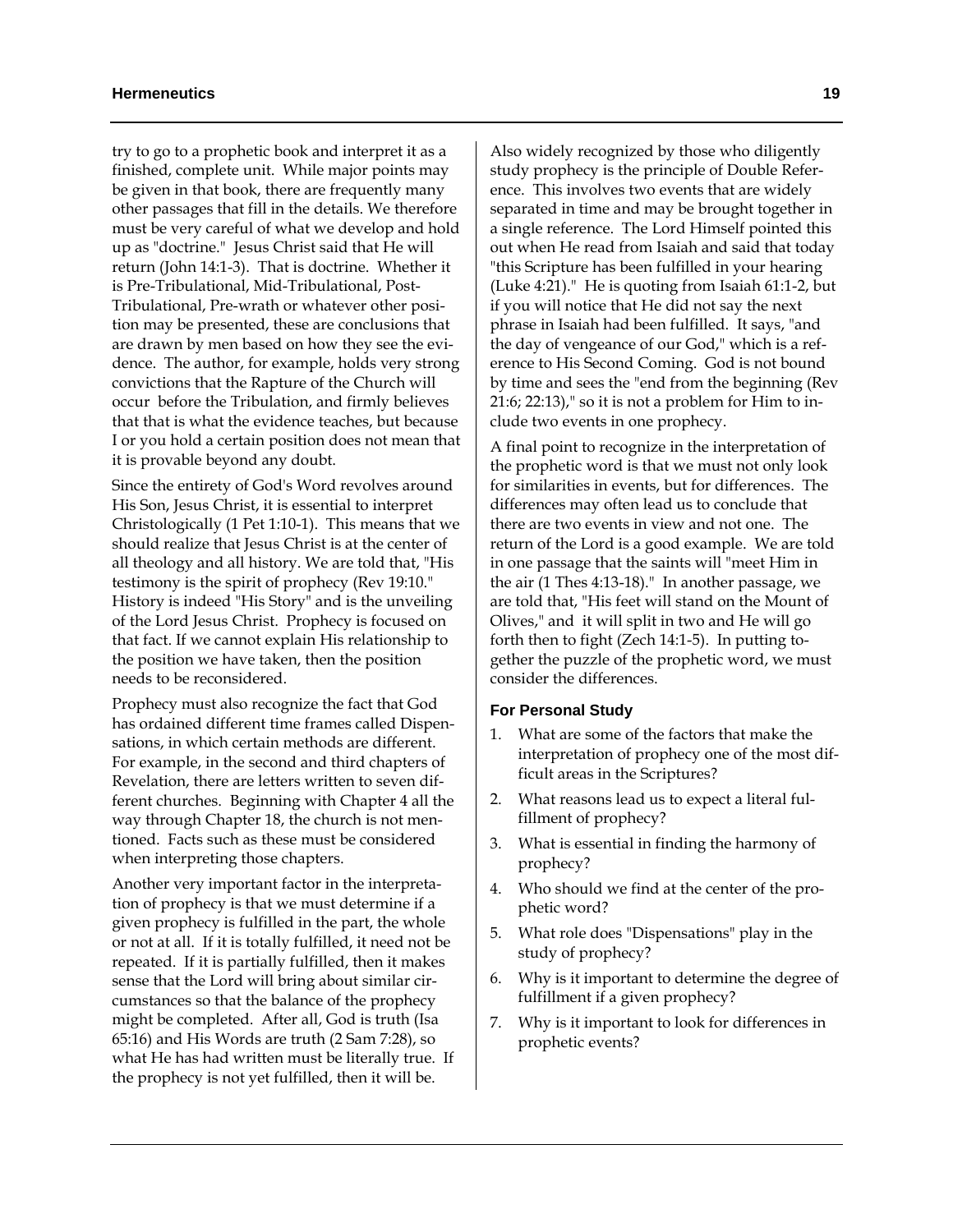try to go to a prophetic book and interpret it as a finished, complete unit. While major points may be given in that book, there are frequently many other passages that fill in the details. We therefore must be very careful of what we develop and hold up as "doctrine." Jesus Christ said that He will return (John 14:1-3). That is doctrine. Whether it is Pre-Tribulational, Mid-Tribulational, Post-Tribulational, Pre-wrath or whatever other position may be presented, these are conclusions that are drawn by men based on how they see the evidence. The author, for example, holds very strong convictions that the Rapture of the Church will occur before the Tribulation, and firmly believes that that is what the evidence teaches, but because I or you hold a certain position does not mean that it is provable beyond any doubt.

Since the entirety of God's Word revolves around His Son, Jesus Christ, it is essential to interpret Christologically (1 Pet 1:10-1). This means that we should realize that Jesus Christ is at the center of all theology and all history. We are told that, "His testimony is the spirit of prophecy (Rev 19:10." History is indeed "His Story" and is the unveiling of the Lord Jesus Christ. Prophecy is focused on that fact. If we cannot explain His relationship to the position we have taken, then the position needs to be reconsidered.

Prophecy must also recognize the fact that God has ordained different time frames called Dispensations, in which certain methods are different. For example, in the second and third chapters of Revelation, there are letters written to seven different churches. Beginning with Chapter 4 all the way through Chapter 18, the church is not mentioned. Facts such as these must be considered when interpreting those chapters.

Another very important factor in the interpretation of prophecy is that we must determine if a given prophecy is fulfilled in the part, the whole or not at all. If it is totally fulfilled, it need not be repeated. If it is partially fulfilled, then it makes sense that the Lord will bring about similar circumstances so that the balance of the prophecy might be completed. After all, God is truth (Isa 65:16) and His Words are truth (2 Sam 7:28), so what He has had written must be literally true. If the prophecy is not yet fulfilled, then it will be.

Also widely recognized by those who diligently study prophecy is the principle of Double Reference. This involves two events that are widely separated in time and may be brought together in a single reference. The Lord Himself pointed this out when He read from Isaiah and said that today "this Scripture has been fulfilled in your hearing (Luke 4:21)." He is quoting from Isaiah 61:1-2, but if you will notice that He did not say the next phrase in Isaiah had been fulfilled. It says, "and the day of vengeance of our God," which is a reference to His Second Coming. God is not bound by time and sees the "end from the beginning (Rev 21:6; 22:13)," so it is not a problem for Him to include two events in one prophecy.

A final point to recognize in the interpretation of the prophetic word is that we must not only look for similarities in events, but for differences. The differences may often lead us to conclude that there are two events in view and not one. The return of the Lord is a good example. We are told in one passage that the saints will "meet Him in the air (1 Thes 4:13-18)." In another passage, we are told that, "His feet will stand on the Mount of Olives," and it will split in two and He will go forth then to fight (Zech 14:1-5). In putting together the puzzle of the prophetic word, we must consider the differences.

#### **For Personal Study**

- What are some of the factors that make the interpretation of prophecy one of the most difficult areas in the Scriptures?
- 2. What reasons lead us to expect a literal fulfillment of prophecy?
- 3. What is essential in finding the harmony of prophecy?
- 4. Who should we find at the center of the prophetic word?
- 5. What role does "Dispensations" play in the study of prophecy?
- 6. Why is it important to determine the degree of fulfillment if a given prophecy?
- 7. Why is it important to look for differences in prophetic events?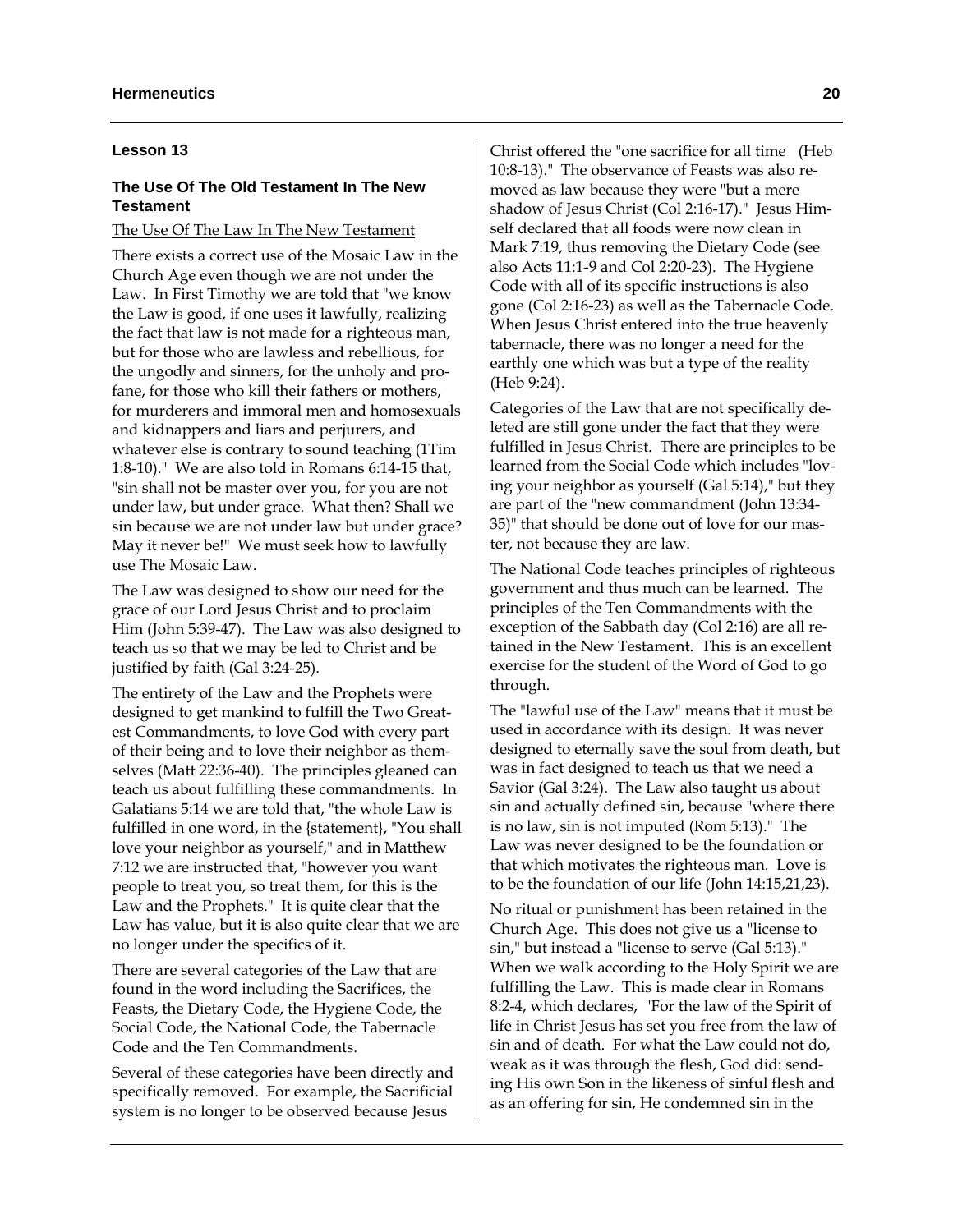#### **Lesson 13**

# **The Use Of The Old Testament In The New Testament**

# The Use Of The Law In The New Testament

There exists a correct use of the Mosaic Law in the Church Age even though we are not under the Law. In First Timothy we are told that "we know the Law is good, if one uses it lawfully, realizing the fact that law is not made for a righteous man, but for those who are lawless and rebellious, for the ungodly and sinners, for the unholy and profane, for those who kill their fathers or mothers, for murderers and immoral men and homosexuals and kidnappers and liars and perjurers, and whatever else is contrary to sound teaching (1Tim 1:8-10)." We are also told in Romans 6:14-15 that, "sin shall not be master over you, for you are not under law, but under grace. What then? Shall we sin because we are not under law but under grace? May it never be!" We must seek how to lawfully use The Mosaic Law.

The Law was designed to show our need for the grace of our Lord Jesus Christ and to proclaim Him (John 5:39-47). The Law was also designed to teach us so that we may be led to Christ and be justified by faith (Gal 3:24-25).

The entirety of the Law and the Prophets were designed to get mankind to fulfill the Two Greatest Commandments, to love God with every part of their being and to love their neighbor as themselves (Matt 22:36-40). The principles gleaned can teach us about fulfilling these commandments. In Galatians 5:14 we are told that, "the whole Law is fulfilled in one word, in the {statement}, "You shall love your neighbor as yourself," and in Matthew 7:12 we are instructed that, "however you want people to treat you, so treat them, for this is the Law and the Prophets." It is quite clear that the Law has value, but it is also quite clear that we are no longer under the specifics of it.

There are several categories of the Law that are found in the word including the Sacrifices, the Feasts, the Dietary Code, the Hygiene Code, the Social Code, the National Code, the Tabernacle Code and the Ten Commandments.

Several of these categories have been directly and specifically removed. For example, the Sacrificial system is no longer to be observed because Jesus

Christ offered the "one sacrifice for all time (Heb 10:8-13)." The observance of Feasts was also removed as law because they were "but a mere shadow of Jesus Christ (Col 2:16-17)." Jesus Himself declared that all foods were now clean in Mark 7:19, thus removing the Dietary Code (see also Acts 11:1-9 and Col 2:20-23). The Hygiene Code with all of its specific instructions is also gone (Col 2:16-23) as well as the Tabernacle Code. When Jesus Christ entered into the true heavenly tabernacle, there was no longer a need for the earthly one which was but a type of the reality (Heb 9:24).

Categories of the Law that are not specifically deleted are still gone under the fact that they were fulfilled in Jesus Christ. There are principles to be learned from the Social Code which includes "loving your neighbor as yourself (Gal 5:14)," but they are part of the "new commandment (John 13:34- 35)" that should be done out of love for our master, not because they are law.

The National Code teaches principles of righteous government and thus much can be learned. The principles of the Ten Commandments with the exception of the Sabbath day (Col 2:16) are all retained in the New Testament. This is an excellent exercise for the student of the Word of God to go through.

The "lawful use of the Law" means that it must be used in accordance with its design. It was never designed to eternally save the soul from death, but was in fact designed to teach us that we need a Savior (Gal 3:24). The Law also taught us about sin and actually defined sin, because "where there is no law, sin is not imputed (Rom 5:13)." The Law was never designed to be the foundation or that which motivates the righteous man. Love is to be the foundation of our life (John 14:15,21,23).

No ritual or punishment has been retained in the Church Age. This does not give us a "license to sin," but instead a "license to serve (Gal 5:13)." When we walk according to the Holy Spirit we are fulfilling the Law. This is made clear in Romans 8:2-4, which declares, "For the law of the Spirit of life in Christ Jesus has set you free from the law of sin and of death. For what the Law could not do, weak as it was through the flesh, God did: sending His own Son in the likeness of sinful flesh and as an offering for sin, He condemned sin in the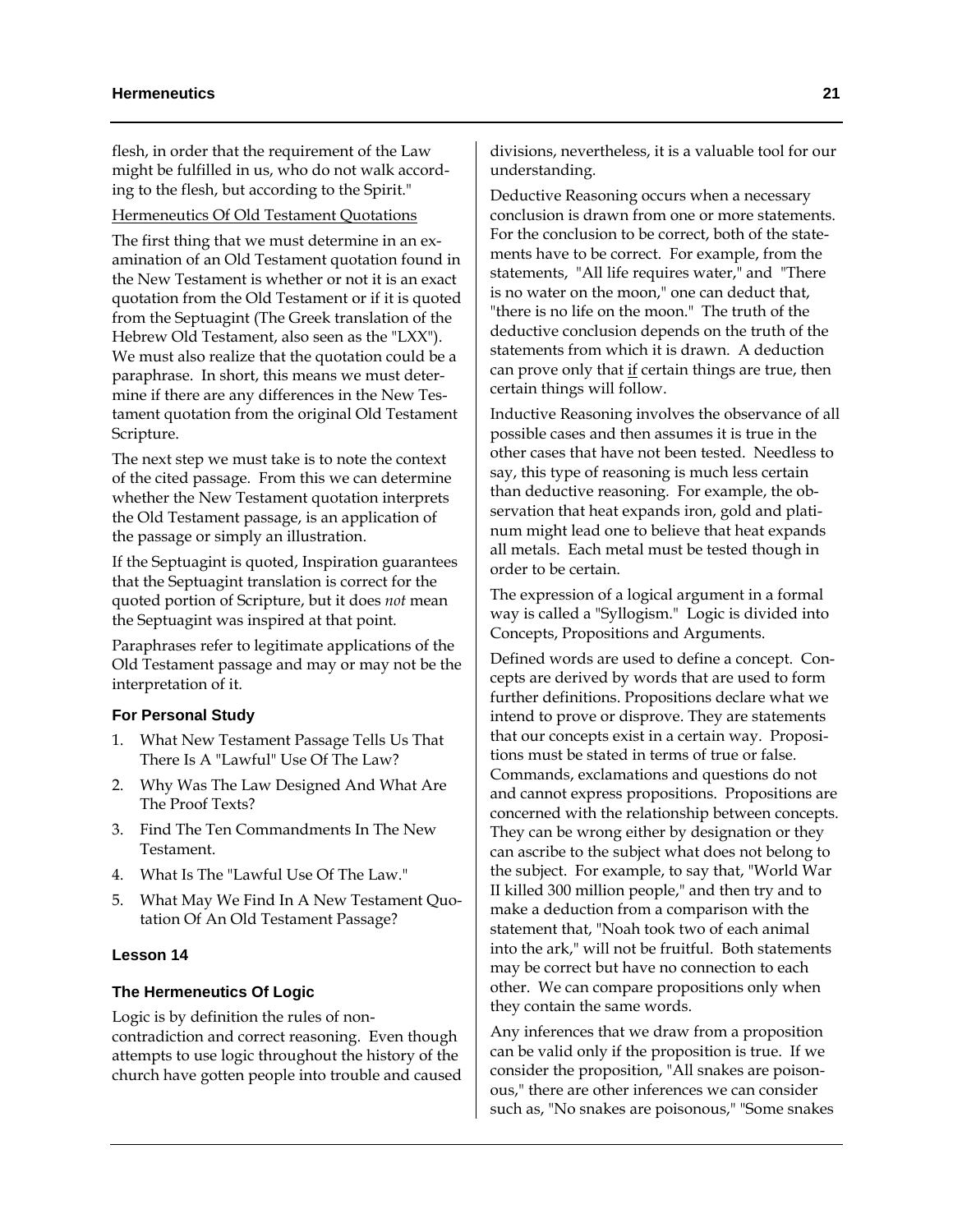flesh, in order that the requirement of the Law might be fulfilled in us, who do not walk according to the flesh, but according to the Spirit."

# Hermeneutics Of Old Testament Quotations

The first thing that we must determine in an examination of an Old Testament quotation found in the New Testament is whether or not it is an exact quotation from the Old Testament or if it is quoted from the Septuagint (The Greek translation of the Hebrew Old Testament, also seen as the "LXX"). We must also realize that the quotation could be a paraphrase. In short, this means we must determine if there are any differences in the New Testament quotation from the original Old Testament Scripture.

The next step we must take is to note the context of the cited passage. From this we can determine whether the New Testament quotation interprets the Old Testament passage, is an application of the passage or simply an illustration.

If the Septuagint is quoted, Inspiration guarantees that the Septuagint translation is correct for the quoted portion of Scripture, but it does *not* mean the Septuagint was inspired at that point.

Paraphrases refer to legitimate applications of the Old Testament passage and may or may not be the interpretation of it.

# **For Personal Study**

- 1. What New Testament Passage Tells Us That There Is A "Lawful" Use Of The Law?
- 2. Why Was The Law Designed And What Are The Proof Texts?
- 3. Find The Ten Commandments In The New Testament.
- 4. What Is The "Lawful Use Of The Law."
- 5. What May We Find In A New Testament Quotation Of An Old Testament Passage?

# **Lesson 14**

# **The Hermeneutics Of Logic**

Logic is by definition the rules of noncontradiction and correct reasoning. Even though attempts to use logic throughout the history of the church have gotten people into trouble and caused divisions, nevertheless, it is a valuable tool for our understanding.

Deductive Reasoning occurs when a necessary conclusion is drawn from one or more statements. For the conclusion to be correct, both of the statements have to be correct. For example, from the statements, "All life requires water," and "There is no water on the moon," one can deduct that, "there is no life on the moon." The truth of the deductive conclusion depends on the truth of the statements from which it is drawn. A deduction can prove only that  $\underline{\text{if}}$  certain things are true, then certain things will follow.

Inductive Reasoning involves the observance of all possible cases and then assumes it is true in the other cases that have not been tested. Needless to say, this type of reasoning is much less certain than deductive reasoning. For example, the observation that heat expands iron, gold and platinum might lead one to believe that heat expands all metals. Each metal must be tested though in order to be certain.

The expression of a logical argument in a formal way is called a "Syllogism." Logic is divided into Concepts, Propositions and Arguments.

Defined words are used to define a concept. Concepts are derived by words that are used to form further definitions. Propositions declare what we intend to prove or disprove. They are statements that our concepts exist in a certain way. Propositions must be stated in terms of true or false. Commands, exclamations and questions do not and cannot express propositions. Propositions are concerned with the relationship between concepts. They can be wrong either by designation or they can ascribe to the subject what does not belong to the subject. For example, to say that, "World War II killed 300 million people," and then try and to make a deduction from a comparison with the statement that, "Noah took two of each animal into the ark," will not be fruitful. Both statements may be correct but have no connection to each other. We can compare propositions only when they contain the same words.

Any inferences that we draw from a proposition can be valid only if the proposition is true. If we consider the proposition, "All snakes are poisonous," there are other inferences we can consider such as, "No snakes are poisonous," "Some snakes